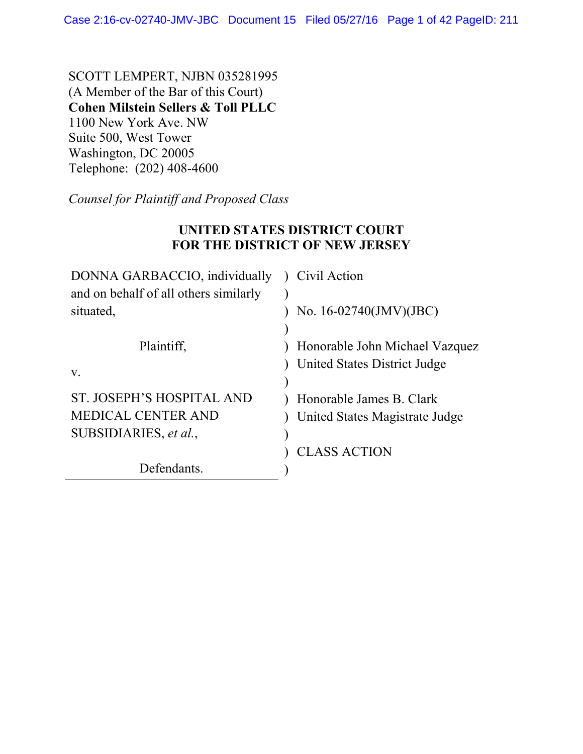SCOTT LEMPERT, NJBN 035281995 (A Member of the Bar of this Court) **Cohen Milstein Sellers & Toll PLLC** 1100 New York Ave. NW Suite 500, West Tower Washington, DC 20005 Telephone: (202) 408-4600

*Counsel for Plaintiff and Proposed Class* 

## **UNITED STATES DISTRICT COURT FOR THE DISTRICT OF NEW JERSEY**

| DONNA GARBACCIO, individually         | Civil Action                   |
|---------------------------------------|--------------------------------|
| and on behalf of all others similarly |                                |
| situated,                             | No. $16-02740$ (JMV)(JBC)      |
|                                       |                                |
| Plaintiff.                            | Honorable John Michael Vazquez |
|                                       | United States District Judge   |
| V.                                    |                                |
| ST. JOSEPH'S HOSPITAL AND             | Honorable James B. Clark       |
| <b>MEDICAL CENTER AND</b>             | United States Magistrate Judge |
| SUBSIDIARIES, et al.,                 |                                |
|                                       | <b>CLASS ACTION</b>            |
| Defendants.                           |                                |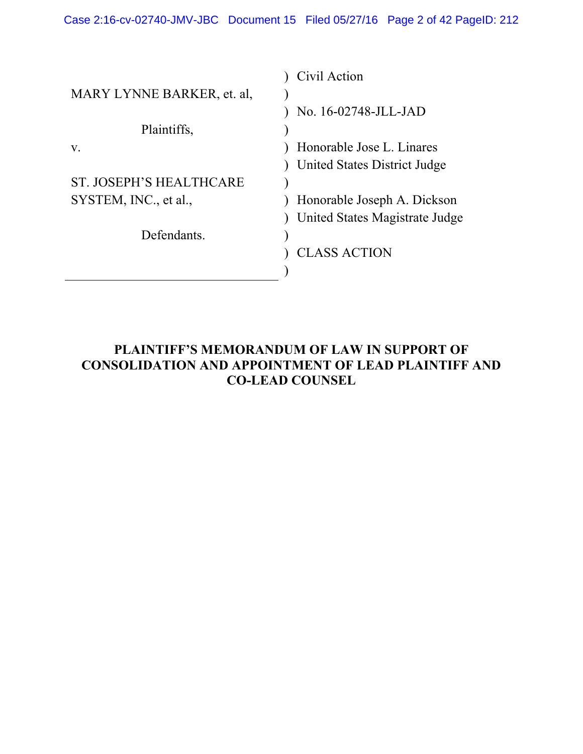|                            | Civil Action                   |
|----------------------------|--------------------------------|
| MARY LYNNE BARKER, et. al, |                                |
|                            | No. 16-02748-JLL-JAD           |
| Plaintiffs,                |                                |
| V.                         | Honorable Jose L. Linares      |
|                            | United States District Judge   |
| ST. JOSEPH'S HEALTHCARE    |                                |
| SYSTEM, INC., et al.,      | Honorable Joseph A. Dickson    |
|                            | United States Magistrate Judge |
| Defendants.                |                                |
|                            | <b>CLASS ACTION</b>            |
|                            |                                |
|                            |                                |

# **PLAINTIFF'S MEMORANDUM OF LAW IN SUPPORT OF CONSOLIDATION AND APPOINTMENT OF LEAD PLAINTIFF AND CO-LEAD COUNSEL**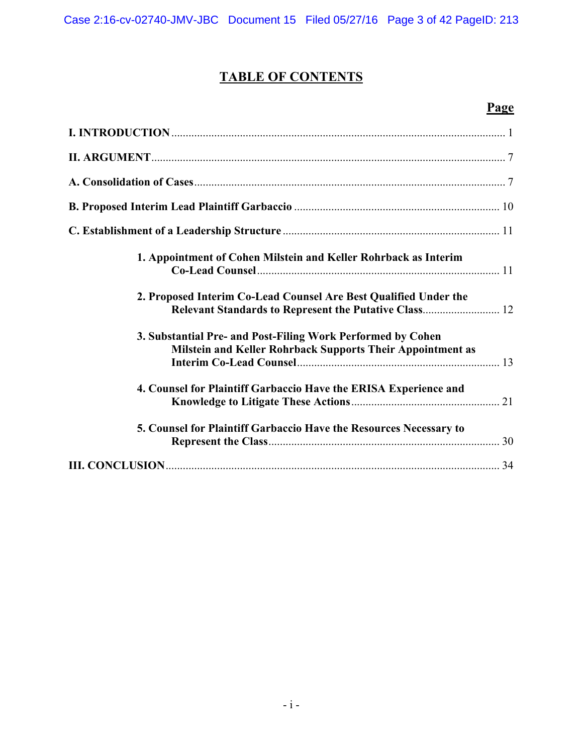# **TABLE OF CONTENTS**

# **Page**

| 1. Appointment of Cohen Milstein and Keller Rohrback as Interim                                                           |  |
|---------------------------------------------------------------------------------------------------------------------------|--|
| 2. Proposed Interim Co-Lead Counsel Are Best Qualified Under the                                                          |  |
| 3. Substantial Pre- and Post-Filing Work Performed by Cohen<br>Milstein and Keller Rohrback Supports Their Appointment as |  |
| 4. Counsel for Plaintiff Garbaccio Have the ERISA Experience and                                                          |  |
| 5. Counsel for Plaintiff Garbaccio Have the Resources Necessary to                                                        |  |
|                                                                                                                           |  |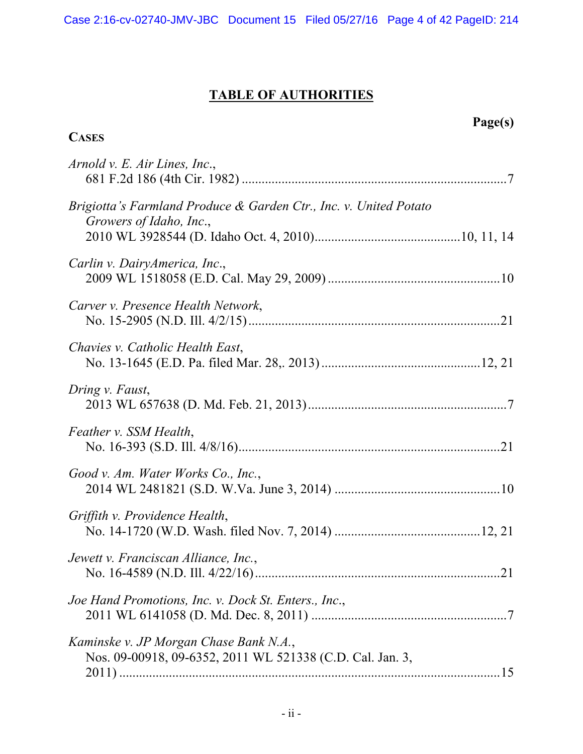## **TABLE OF AUTHORITIES**

| <b>CASES</b>                                                                                        | Page(s) |
|-----------------------------------------------------------------------------------------------------|---------|
| Arnold v. E. Air Lines, Inc.,                                                                       |         |
| Brigiotta's Farmland Produce & Garden Ctr., Inc. v. United Potato<br>Growers of Idaho, Inc.,        |         |
| Carlin v. DairyAmerica, Inc.,                                                                       |         |
| Carver v. Presence Health Network,                                                                  |         |
| Chavies v. Catholic Health East,                                                                    |         |
| Dring v. Faust,                                                                                     |         |
| Feather v. SSM Health,                                                                              |         |
| Good v. Am. Water Works Co., Inc.,                                                                  |         |
| Griffith v. Providence Health,                                                                      |         |
| Jewett v. Franciscan Alliance, Inc.,                                                                |         |
| Joe Hand Promotions, Inc. v. Dock St. Enters., Inc.,                                                |         |
| Kaminske v. JP Morgan Chase Bank N.A.,<br>Nos. 09-00918, 09-6352, 2011 WL 521338 (C.D. Cal. Jan. 3, |         |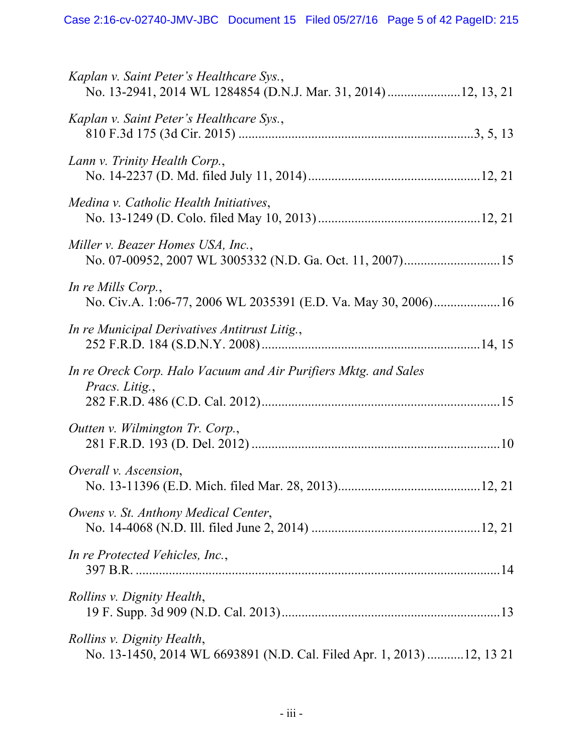| Kaplan v. Saint Peter's Healthcare Sys.,<br>No. 13-2941, 2014 WL 1284854 (D.N.J. Mar. 31, 2014) 12, 13, 21 |
|------------------------------------------------------------------------------------------------------------|
| Kaplan v. Saint Peter's Healthcare Sys.,                                                                   |
| Lann v. Trinity Health Corp.,                                                                              |
| Medina v. Catholic Health Initiatives,                                                                     |
| Miller v. Beazer Homes USA, Inc.,<br>No. 07-00952, 2007 WL 3005332 (N.D. Ga. Oct. 11, 2007)15              |
| In re Mills Corp.,<br>No. Civ.A. 1:06-77, 2006 WL 2035391 (E.D. Va. May 30, 2006)16                        |
| In re Municipal Derivatives Antitrust Litig.,                                                              |
| In re Oreck Corp. Halo Vacuum and Air Purifiers Mktg. and Sales<br>Pracs. Litig.,                          |
| Outten v. Wilmington Tr. Corp.,                                                                            |
| Overall v. Ascension,                                                                                      |
| Owens v. St. Anthony Medical Center,                                                                       |
| In re Protected Vehicles, Inc.,                                                                            |
| Rollins v. Dignity Health,                                                                                 |
| Rollins v. Dignity Health,<br>No. 13-1450, 2014 WL 6693891 (N.D. Cal. Filed Apr. 1, 2013) 12, 13 21        |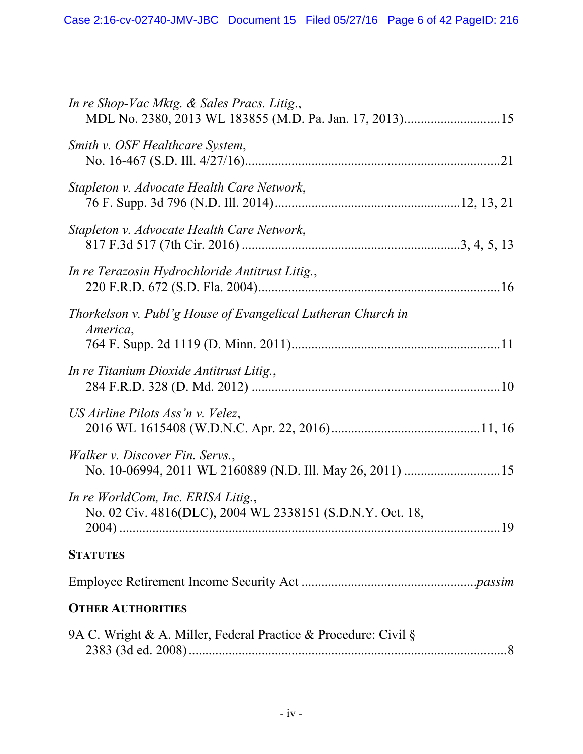| In re Shop-Vac Mktg. & Sales Pracs. Litig.,<br>MDL No. 2380, 2013 WL 183855 (M.D. Pa. Jan. 17, 2013)15 |  |
|--------------------------------------------------------------------------------------------------------|--|
| Smith v. OSF Healthcare System,                                                                        |  |
| Stapleton v. Advocate Health Care Network,                                                             |  |
| Stapleton v. Advocate Health Care Network,                                                             |  |
| In re Terazosin Hydrochloride Antitrust Litig.,                                                        |  |
| Thorkelson v. Publ'g House of Evangelical Lutheran Church in<br>America,                               |  |
| In re Titanium Dioxide Antitrust Litig.,                                                               |  |
| US Airline Pilots Ass'n v. Velez,                                                                      |  |
| <i>Walker v. Discover Fin. Servs.,</i><br>No. 10-06994, 2011 WL 2160889 (N.D. Ill. May 26, 2011) 15    |  |
| In re WorldCom, Inc. ERISA Litig.,<br>No. 02 Civ. 4816(DLC), 2004 WL 2338151 (S.D.N.Y. Oct. 18,        |  |
| <b>STATUTES</b>                                                                                        |  |
|                                                                                                        |  |
| <b>OTHER AUTHORITIES</b>                                                                               |  |
| 9A C. Wright & A. Miller, Federal Practice & Procedure: Civil §                                        |  |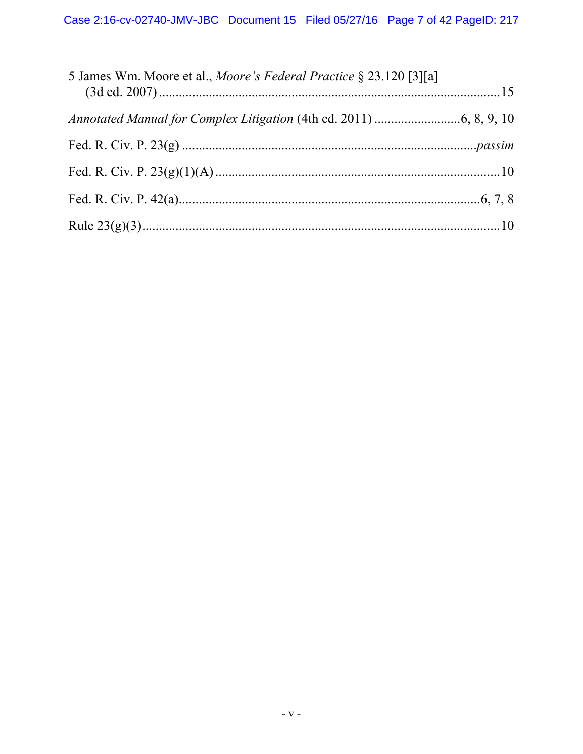| 5 James Wm. Moore et al., Moore's Federal Practice § 23.120 [3][a] |  |
|--------------------------------------------------------------------|--|
|                                                                    |  |
|                                                                    |  |
|                                                                    |  |
|                                                                    |  |
|                                                                    |  |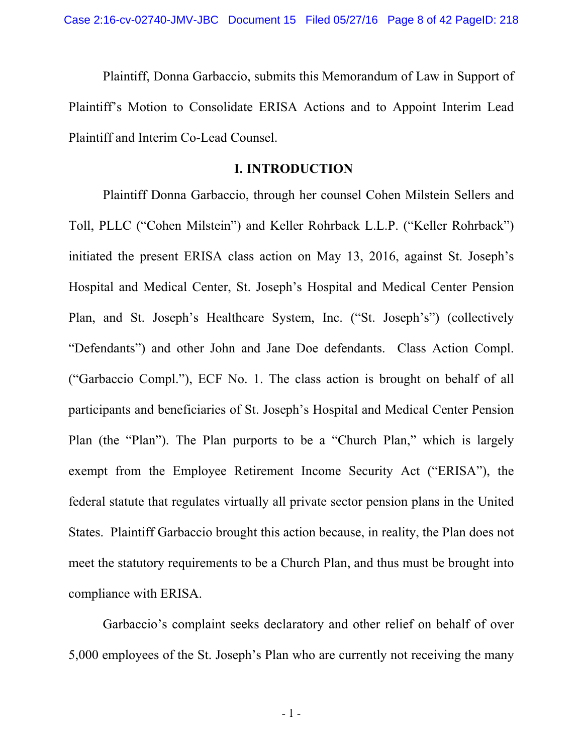Plaintiff, Donna Garbaccio, submits this Memorandum of Law in Support of Plaintiff's Motion to Consolidate ERISA Actions and to Appoint Interim Lead Plaintiff and Interim Co-Lead Counsel.

#### **I. INTRODUCTION**

Plaintiff Donna Garbaccio, through her counsel Cohen Milstein Sellers and Toll, PLLC ("Cohen Milstein") and Keller Rohrback L.L.P. ("Keller Rohrback") initiated the present ERISA class action on May 13, 2016, against St. Joseph's Hospital and Medical Center, St. Joseph's Hospital and Medical Center Pension Plan, and St. Joseph's Healthcare System, Inc. ("St. Joseph's") (collectively "Defendants") and other John and Jane Doe defendants. Class Action Compl. ("Garbaccio Compl."), ECF No. 1. The class action is brought on behalf of all participants and beneficiaries of St. Joseph's Hospital and Medical Center Pension Plan (the "Plan"). The Plan purports to be a "Church Plan," which is largely exempt from the Employee Retirement Income Security Act ("ERISA"), the federal statute that regulates virtually all private sector pension plans in the United States. Plaintiff Garbaccio brought this action because, in reality, the Plan does not meet the statutory requirements to be a Church Plan, and thus must be brought into compliance with ERISA.

Garbaccio's complaint seeks declaratory and other relief on behalf of over 5,000 employees of the St. Joseph's Plan who are currently not receiving the many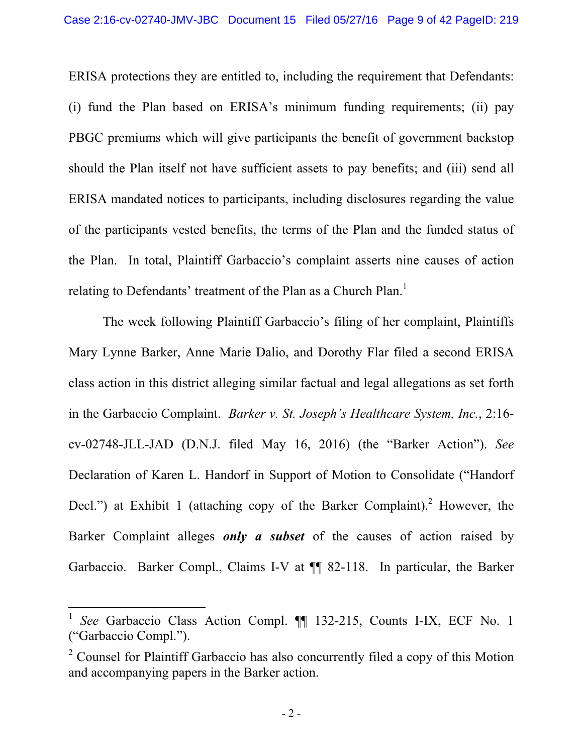ERISA protections they are entitled to, including the requirement that Defendants: (i) fund the Plan based on ERISA's minimum funding requirements; (ii) pay PBGC premiums which will give participants the benefit of government backstop should the Plan itself not have sufficient assets to pay benefits; and (iii) send all ERISA mandated notices to participants, including disclosures regarding the value of the participants vested benefits, the terms of the Plan and the funded status of the Plan. In total, Plaintiff Garbaccio's complaint asserts nine causes of action relating to Defendants' treatment of the Plan as a Church Plan.<sup>1</sup>

The week following Plaintiff Garbaccio's filing of her complaint, Plaintiffs Mary Lynne Barker, Anne Marie Dalio, and Dorothy Flar filed a second ERISA class action in this district alleging similar factual and legal allegations as set forth in the Garbaccio Complaint. *Barker v. St. Joseph's Healthcare System, Inc.*, 2:16 cv-02748-JLL-JAD (D.N.J. filed May 16, 2016) (the "Barker Action"). *See* Declaration of Karen L. Handorf in Support of Motion to Consolidate ("Handorf Decl.") at Exhibit 1 (attaching copy of the Barker Complaint).<sup>2</sup> However, the Barker Complaint alleges *only a subset* of the causes of action raised by Garbaccio. Barker Compl., Claims I-V at ¶¶ 82-118. In particular, the Barker

 $\overline{a}$ 

<sup>1</sup> *See* Garbaccio Class Action Compl. ¶¶ 132-215, Counts I-IX, ECF No. 1 ("Garbaccio Compl.").

 $2^2$  Counsel for Plaintiff Garbaccio has also concurrently filed a copy of this Motion and accompanying papers in the Barker action.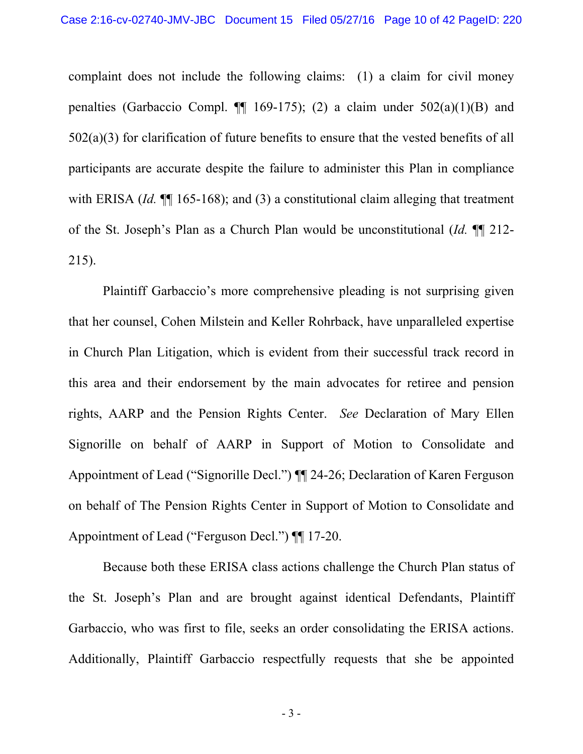complaint does not include the following claims: (1) a claim for civil money penalties (Garbaccio Compl.  $\P\P$  169-175); (2) a claim under 502(a)(1)(B) and 502(a)(3) for clarification of future benefits to ensure that the vested benefits of all participants are accurate despite the failure to administer this Plan in compliance with ERISA (*Id.*  $\P$  165-168); and (3) a constitutional claim alleging that treatment of the St. Joseph's Plan as a Church Plan would be unconstitutional (*Id.* ¶¶ 212- 215).

Plaintiff Garbaccio's more comprehensive pleading is not surprising given that her counsel, Cohen Milstein and Keller Rohrback, have unparalleled expertise in Church Plan Litigation, which is evident from their successful track record in this area and their endorsement by the main advocates for retiree and pension rights, AARP and the Pension Rights Center. *See* Declaration of Mary Ellen Signorille on behalf of AARP in Support of Motion to Consolidate and Appointment of Lead ("Signorille Decl.") ¶¶ 24-26; Declaration of Karen Ferguson on behalf of The Pension Rights Center in Support of Motion to Consolidate and Appointment of Lead ("Ferguson Decl.") ¶¶ 17-20.

Because both these ERISA class actions challenge the Church Plan status of the St. Joseph's Plan and are brought against identical Defendants, Plaintiff Garbaccio, who was first to file, seeks an order consolidating the ERISA actions. Additionally, Plaintiff Garbaccio respectfully requests that she be appointed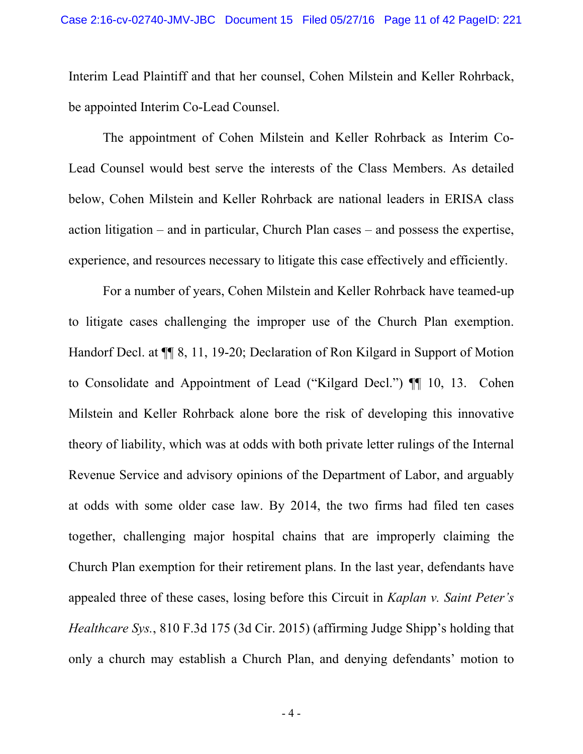Interim Lead Plaintiff and that her counsel, Cohen Milstein and Keller Rohrback, be appointed Interim Co-Lead Counsel.

The appointment of Cohen Milstein and Keller Rohrback as Interim Co-Lead Counsel would best serve the interests of the Class Members. As detailed below, Cohen Milstein and Keller Rohrback are national leaders in ERISA class action litigation – and in particular, Church Plan cases – and possess the expertise, experience, and resources necessary to litigate this case effectively and efficiently.

For a number of years, Cohen Milstein and Keller Rohrback have teamed-up to litigate cases challenging the improper use of the Church Plan exemption. Handorf Decl. at ¶¶ 8, 11, 19-20; Declaration of Ron Kilgard in Support of Motion to Consolidate and Appointment of Lead ("Kilgard Decl.") ¶¶ 10, 13. Cohen Milstein and Keller Rohrback alone bore the risk of developing this innovative theory of liability, which was at odds with both private letter rulings of the Internal Revenue Service and advisory opinions of the Department of Labor, and arguably at odds with some older case law. By 2014, the two firms had filed ten cases together, challenging major hospital chains that are improperly claiming the Church Plan exemption for their retirement plans. In the last year, defendants have appealed three of these cases, losing before this Circuit in *Kaplan v. Saint Peter's Healthcare Sys.*, 810 F.3d 175 (3d Cir. 2015) (affirming Judge Shipp's holding that only a church may establish a Church Plan, and denying defendants' motion to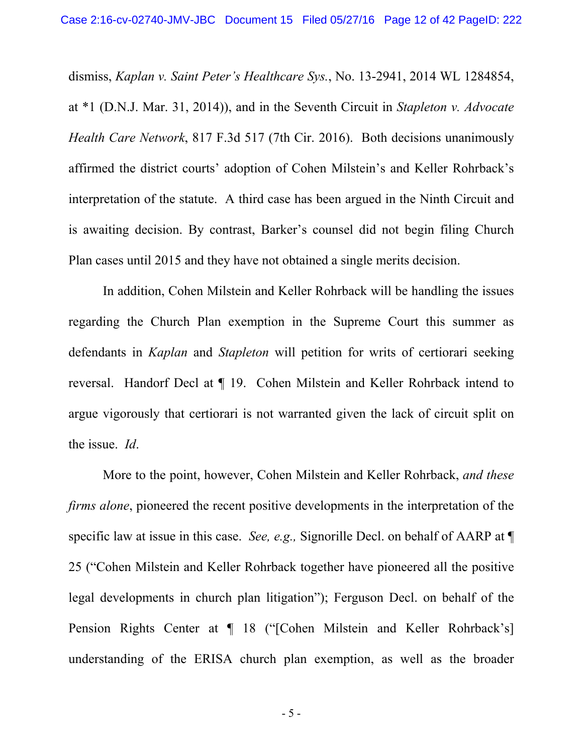dismiss, *Kaplan v. Saint Peter's Healthcare Sys.*, No. 13-2941, 2014 WL 1284854, at \*1 (D.N.J. Mar. 31, 2014)), and in the Seventh Circuit in *Stapleton v. Advocate Health Care Network*, 817 F.3d 517 (7th Cir. 2016). Both decisions unanimously affirmed the district courts' adoption of Cohen Milstein's and Keller Rohrback's interpretation of the statute. A third case has been argued in the Ninth Circuit and is awaiting decision. By contrast, Barker's counsel did not begin filing Church Plan cases until 2015 and they have not obtained a single merits decision.

In addition, Cohen Milstein and Keller Rohrback will be handling the issues regarding the Church Plan exemption in the Supreme Court this summer as defendants in *Kaplan* and *Stapleton* will petition for writs of certiorari seeking reversal. Handorf Decl at ¶ 19. Cohen Milstein and Keller Rohrback intend to argue vigorously that certiorari is not warranted given the lack of circuit split on the issue. *Id*.

More to the point, however, Cohen Milstein and Keller Rohrback, *and these firms alone*, pioneered the recent positive developments in the interpretation of the specific law at issue in this case. *See, e.g.,* Signorille Decl. on behalf of AARP at ¶ 25 ("Cohen Milstein and Keller Rohrback together have pioneered all the positive legal developments in church plan litigation"); Ferguson Decl. on behalf of the Pension Rights Center at ¶ 18 ("[Cohen Milstein and Keller Rohrback's] understanding of the ERISA church plan exemption, as well as the broader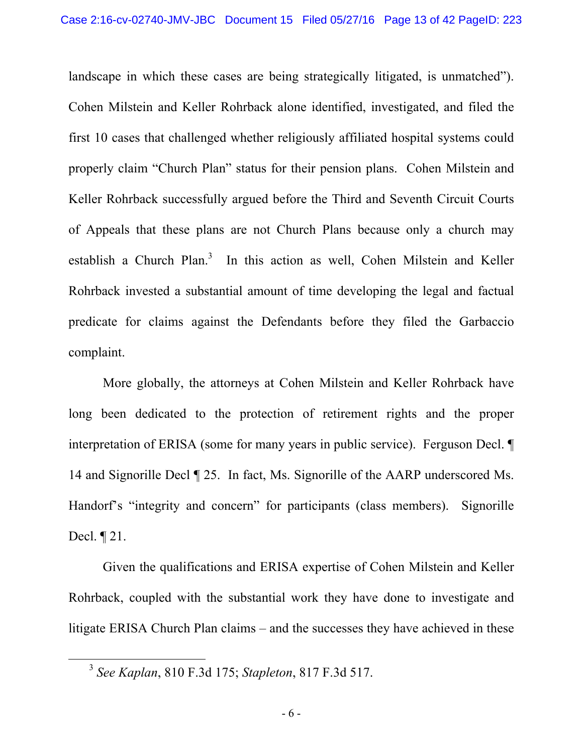landscape in which these cases are being strategically litigated, is unmatched"). Cohen Milstein and Keller Rohrback alone identified, investigated, and filed the first 10 cases that challenged whether religiously affiliated hospital systems could properly claim "Church Plan" status for their pension plans. Cohen Milstein and Keller Rohrback successfully argued before the Third and Seventh Circuit Courts of Appeals that these plans are not Church Plans because only a church may establish a Church Plan. $3$  In this action as well, Cohen Milstein and Keller Rohrback invested a substantial amount of time developing the legal and factual predicate for claims against the Defendants before they filed the Garbaccio complaint.

More globally, the attorneys at Cohen Milstein and Keller Rohrback have long been dedicated to the protection of retirement rights and the proper interpretation of ERISA (some for many years in public service). Ferguson Decl. ¶ 14 and Signorille Decl ¶ 25. In fact, Ms. Signorille of the AARP underscored Ms. Handorf's "integrity and concern" for participants (class members). Signorille Decl. ¶ 21.

Given the qualifications and ERISA expertise of Cohen Milstein and Keller Rohrback, coupled with the substantial work they have done to investigate and litigate ERISA Church Plan claims – and the successes they have achieved in these

 <sup>3</sup> *See Kaplan*, 810 F.3d 175; *Stapleton*, 817 F.3d 517.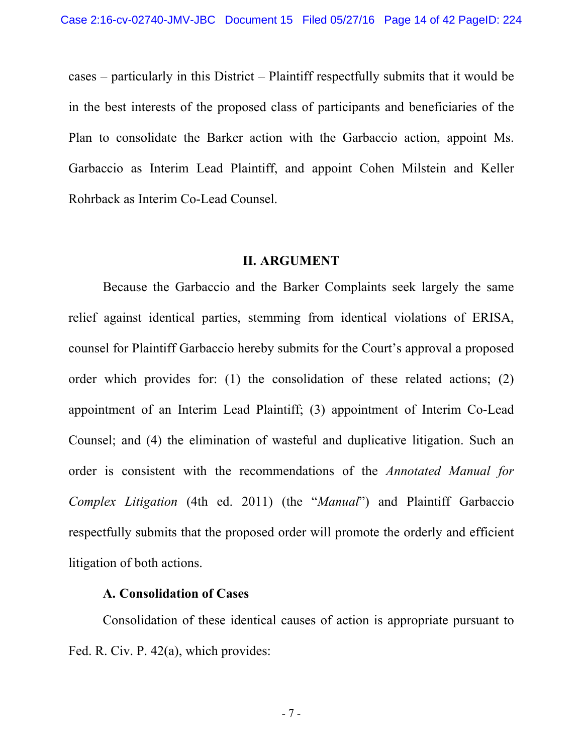cases – particularly in this District – Plaintiff respectfully submits that it would be in the best interests of the proposed class of participants and beneficiaries of the Plan to consolidate the Barker action with the Garbaccio action, appoint Ms. Garbaccio as Interim Lead Plaintiff, and appoint Cohen Milstein and Keller Rohrback as Interim Co-Lead Counsel.

#### **II. ARGUMENT**

Because the Garbaccio and the Barker Complaints seek largely the same relief against identical parties, stemming from identical violations of ERISA, counsel for Plaintiff Garbaccio hereby submits for the Court's approval a proposed order which provides for: (1) the consolidation of these related actions; (2) appointment of an Interim Lead Plaintiff; (3) appointment of Interim Co-Lead Counsel; and (4) the elimination of wasteful and duplicative litigation. Such an order is consistent with the recommendations of the *Annotated Manual for Complex Litigation* (4th ed. 2011) (the "*Manual*") and Plaintiff Garbaccio respectfully submits that the proposed order will promote the orderly and efficient litigation of both actions.

#### **A. Consolidation of Cases**

Consolidation of these identical causes of action is appropriate pursuant to Fed. R. Civ. P. 42(a), which provides: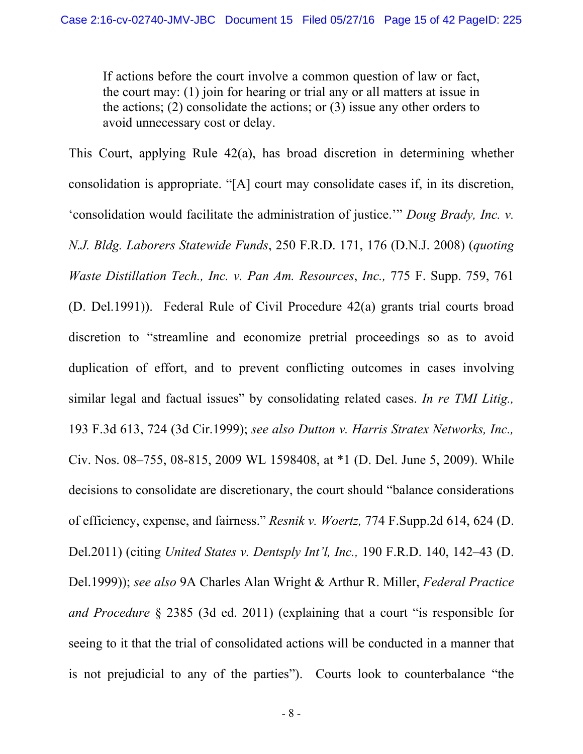If actions before the court involve a common question of law or fact, the court may: (1) join for hearing or trial any or all matters at issue in the actions; (2) consolidate the actions; or (3) issue any other orders to avoid unnecessary cost or delay.

This Court, applying Rule 42(a), has broad discretion in determining whether consolidation is appropriate. "[A] court may consolidate cases if, in its discretion, 'consolidation would facilitate the administration of justice.'" *Doug Brady, Inc. v. N.J. Bldg. Laborers Statewide Funds*, 250 F.R.D. 171, 176 (D.N.J. 2008) (*quoting Waste Distillation Tech., Inc. v. Pan Am. Resources*, *Inc.,* 775 F. Supp. 759, 761 (D. Del.1991)). Federal Rule of Civil Procedure 42(a) grants trial courts broad discretion to "streamline and economize pretrial proceedings so as to avoid duplication of effort, and to prevent conflicting outcomes in cases involving similar legal and factual issues" by consolidating related cases. *In re TMI Litig.,* 193 F.3d 613, 724 (3d Cir.1999); *see also Dutton v. Harris Stratex Networks, Inc.,* Civ. Nos. 08–755, 08-815, 2009 WL 1598408, at \*1 (D. Del. June 5, 2009). While decisions to consolidate are discretionary, the court should "balance considerations of efficiency, expense, and fairness." *Resnik v. Woertz,* 774 F.Supp.2d 614, 624 (D. Del.2011) (citing *United States v. Dentsply Int'l, Inc.,* 190 F.R.D. 140, 142–43 (D. Del.1999)); *see also* 9A Charles Alan Wright & Arthur R. Miller, *Federal Practice and Procedure* § 2385 (3d ed. 2011) (explaining that a court "is responsible for seeing to it that the trial of consolidated actions will be conducted in a manner that is not prejudicial to any of the parties"). Courts look to counterbalance "the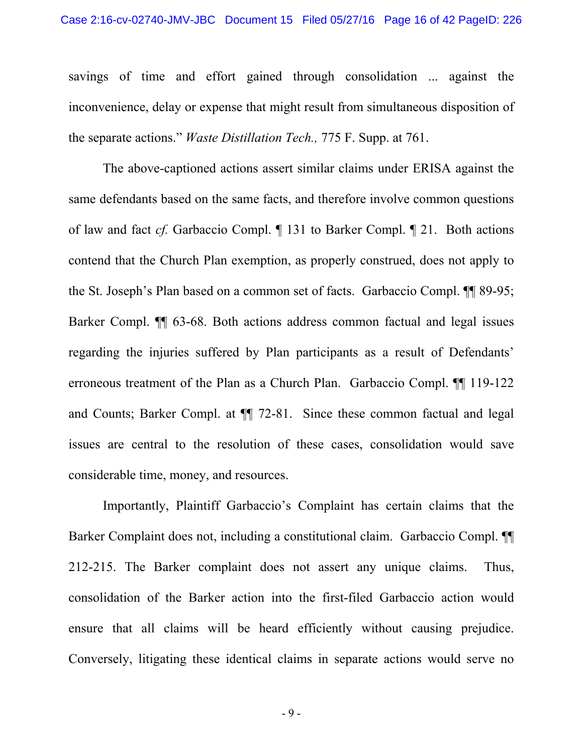savings of time and effort gained through consolidation ... against the inconvenience, delay or expense that might result from simultaneous disposition of the separate actions." *Waste Distillation Tech.,* 775 F. Supp. at 761.

The above-captioned actions assert similar claims under ERISA against the same defendants based on the same facts, and therefore involve common questions of law and fact *cf.* Garbaccio Compl. ¶ 131 to Barker Compl. ¶ 21. Both actions contend that the Church Plan exemption, as properly construed, does not apply to the St. Joseph's Plan based on a common set of facts. Garbaccio Compl. ¶¶ 89-95; Barker Compl. ¶¶ 63-68. Both actions address common factual and legal issues regarding the injuries suffered by Plan participants as a result of Defendants' erroneous treatment of the Plan as a Church Plan. Garbaccio Compl. ¶¶ 119-122 and Counts; Barker Compl. at ¶¶ 72-81. Since these common factual and legal issues are central to the resolution of these cases, consolidation would save considerable time, money, and resources.

Importantly, Plaintiff Garbaccio's Complaint has certain claims that the Barker Complaint does not, including a constitutional claim. Garbaccio Compl. ¶¶ 212-215. The Barker complaint does not assert any unique claims. Thus, consolidation of the Barker action into the first-filed Garbaccio action would ensure that all claims will be heard efficiently without causing prejudice. Conversely, litigating these identical claims in separate actions would serve no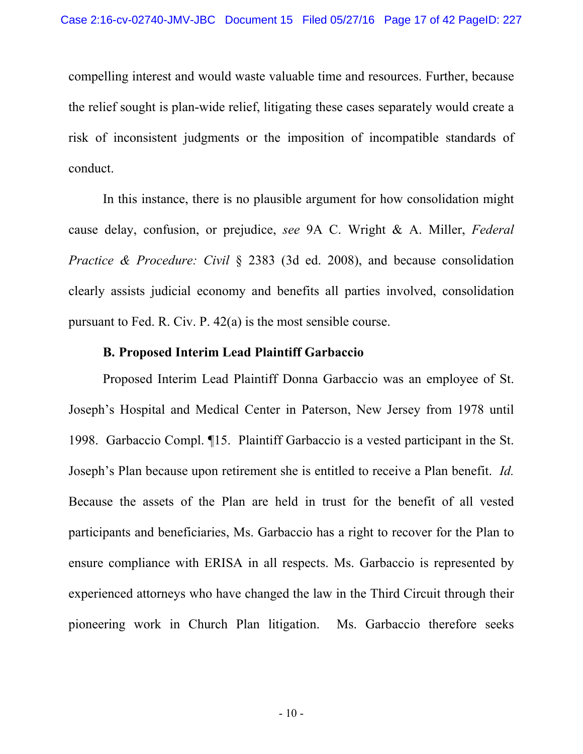compelling interest and would waste valuable time and resources. Further, because the relief sought is plan-wide relief, litigating these cases separately would create a risk of inconsistent judgments or the imposition of incompatible standards of conduct.

In this instance, there is no plausible argument for how consolidation might cause delay, confusion, or prejudice, *see* 9A C. Wright & A. Miller, *Federal Practice & Procedure: Civil* § 2383 (3d ed. 2008), and because consolidation clearly assists judicial economy and benefits all parties involved, consolidation pursuant to Fed. R. Civ. P. 42(a) is the most sensible course.

#### **B. Proposed Interim Lead Plaintiff Garbaccio**

Proposed Interim Lead Plaintiff Donna Garbaccio was an employee of St. Joseph's Hospital and Medical Center in Paterson, New Jersey from 1978 until 1998. Garbaccio Compl. ¶15. Plaintiff Garbaccio is a vested participant in the St. Joseph's Plan because upon retirement she is entitled to receive a Plan benefit. *Id.*  Because the assets of the Plan are held in trust for the benefit of all vested participants and beneficiaries, Ms. Garbaccio has a right to recover for the Plan to ensure compliance with ERISA in all respects. Ms. Garbaccio is represented by experienced attorneys who have changed the law in the Third Circuit through their pioneering work in Church Plan litigation. Ms. Garbaccio therefore seeks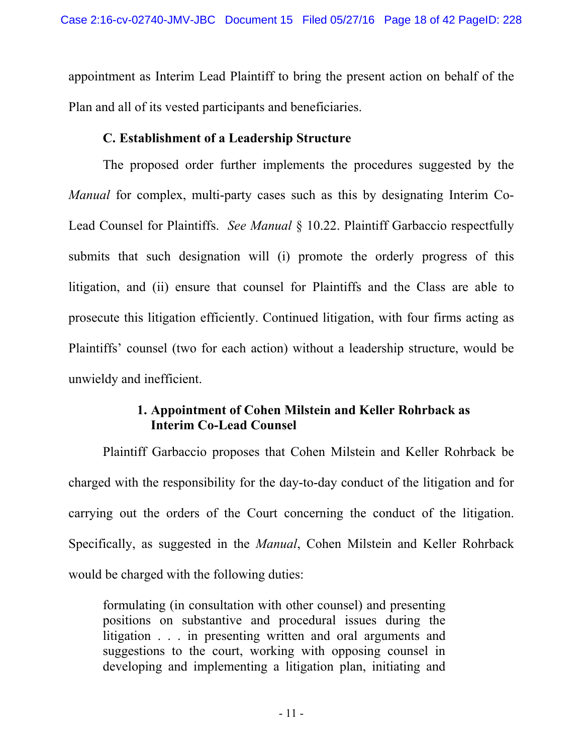appointment as Interim Lead Plaintiff to bring the present action on behalf of the Plan and all of its vested participants and beneficiaries.

# **C. Establishment of a Leadership Structure**

The proposed order further implements the procedures suggested by the *Manual* for complex, multi-party cases such as this by designating Interim Co-Lead Counsel for Plaintiffs. *See Manual* § 10.22. Plaintiff Garbaccio respectfully submits that such designation will (i) promote the orderly progress of this litigation, and (ii) ensure that counsel for Plaintiffs and the Class are able to prosecute this litigation efficiently. Continued litigation, with four firms acting as Plaintiffs' counsel (two for each action) without a leadership structure, would be unwieldy and inefficient.

# **1. Appointment of Cohen Milstein and Keller Rohrback as Interim Co-Lead Counsel**

Plaintiff Garbaccio proposes that Cohen Milstein and Keller Rohrback be charged with the responsibility for the day-to-day conduct of the litigation and for carrying out the orders of the Court concerning the conduct of the litigation. Specifically, as suggested in the *Manual*, Cohen Milstein and Keller Rohrback would be charged with the following duties:

formulating (in consultation with other counsel) and presenting positions on substantive and procedural issues during the litigation . . . in presenting written and oral arguments and suggestions to the court, working with opposing counsel in developing and implementing a litigation plan, initiating and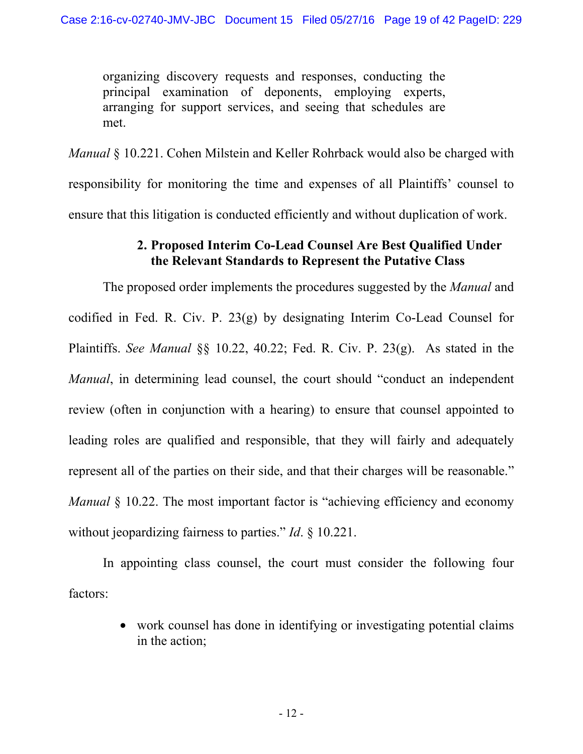organizing discovery requests and responses, conducting the principal examination of deponents, employing experts, arranging for support services, and seeing that schedules are met.

*Manual* § 10.221. Cohen Milstein and Keller Rohrback would also be charged with responsibility for monitoring the time and expenses of all Plaintiffs' counsel to ensure that this litigation is conducted efficiently and without duplication of work.

### **2. Proposed Interim Co-Lead Counsel Are Best Qualified Under the Relevant Standards to Represent the Putative Class**

The proposed order implements the procedures suggested by the *Manual* and codified in Fed. R. Civ. P. 23(g) by designating Interim Co-Lead Counsel for Plaintiffs. *See Manual* §§ 10.22, 40.22; Fed. R. Civ. P. 23(g). As stated in the *Manual*, in determining lead counsel, the court should "conduct an independent review (often in conjunction with a hearing) to ensure that counsel appointed to leading roles are qualified and responsible, that they will fairly and adequately represent all of the parties on their side, and that their charges will be reasonable." *Manual* § 10.22. The most important factor is "achieving efficiency and economy without jeopardizing fairness to parties." *Id*. § 10.221.

In appointing class counsel, the court must consider the following four factors:

> • work counsel has done in identifying or investigating potential claims in the action;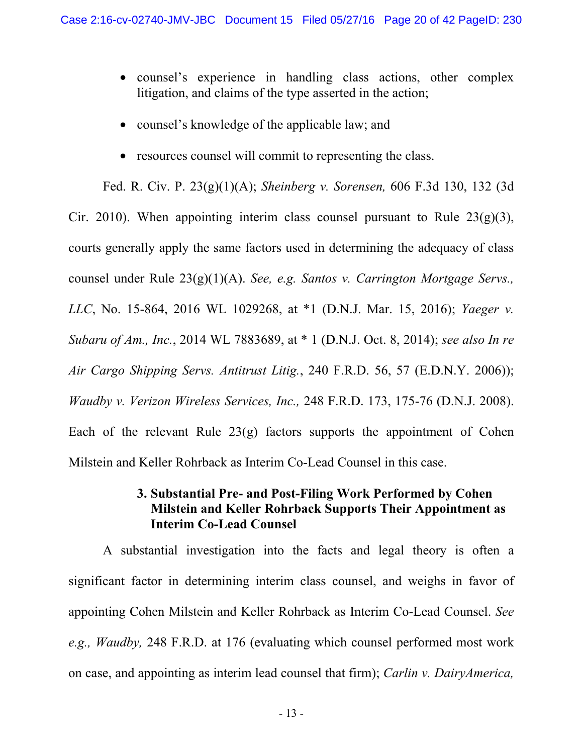- counsel's experience in handling class actions, other complex litigation, and claims of the type asserted in the action;
- counsel's knowledge of the applicable law; and
- resources counsel will commit to representing the class.

Fed. R. Civ. P. 23(g)(1)(A); *Sheinberg v. Sorensen,* 606 F.3d 130, 132 (3d Cir. 2010). When appointing interim class counsel pursuant to Rule  $23(g)(3)$ , courts generally apply the same factors used in determining the adequacy of class counsel under Rule 23(g)(1)(A). *See, e.g. Santos v. Carrington Mortgage Servs., LLC*, No. 15-864, 2016 WL 1029268, at \*1 (D.N.J. Mar. 15, 2016); *Yaeger v. Subaru of Am., Inc.*, 2014 WL 7883689, at \* 1 (D.N.J. Oct. 8, 2014); *see also In re Air Cargo Shipping Servs. Antitrust Litig.*, 240 F.R.D. 56, 57 (E.D.N.Y. 2006)); *Waudby v. Verizon Wireless Services, Inc.,* 248 F.R.D. 173, 175-76 (D.N.J. 2008). Each of the relevant Rule  $23(g)$  factors supports the appointment of Cohen Milstein and Keller Rohrback as Interim Co-Lead Counsel in this case.

### **3. Substantial Pre- and Post-Filing Work Performed by Cohen Milstein and Keller Rohrback Supports Their Appointment as Interim Co-Lead Counsel**

A substantial investigation into the facts and legal theory is often a significant factor in determining interim class counsel, and weighs in favor of appointing Cohen Milstein and Keller Rohrback as Interim Co-Lead Counsel. *See e.g., Waudby,* 248 F.R.D. at 176 (evaluating which counsel performed most work on case, and appointing as interim lead counsel that firm); *Carlin v. DairyAmerica,*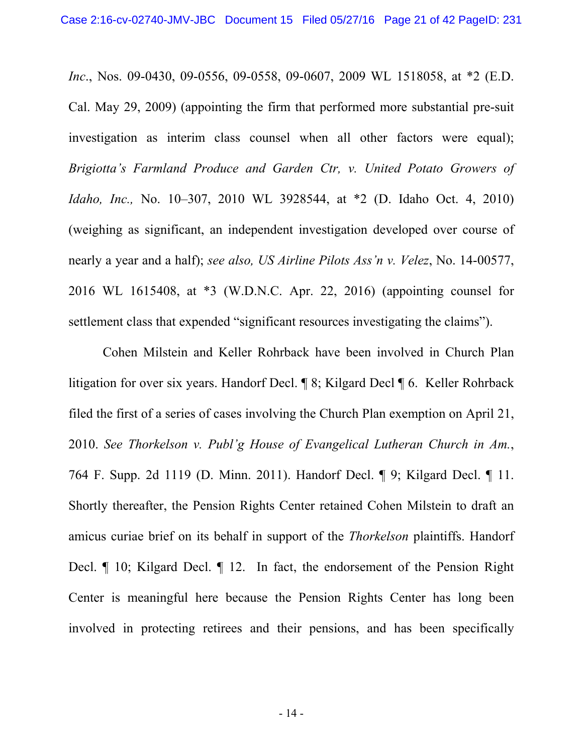*Inc*., Nos. 09-0430, 09-0556, 09-0558, 09-0607, 2009 WL 1518058, at \*2 (E.D. Cal. May 29, 2009) (appointing the firm that performed more substantial pre-suit investigation as interim class counsel when all other factors were equal); *Brigiotta's Farmland Produce and Garden Ctr, v. United Potato Growers of Idaho, Inc.,* No. 10–307, 2010 WL 3928544, at \*2 (D. Idaho Oct. 4, 2010) (weighing as significant, an independent investigation developed over course of nearly a year and a half); *see also, US Airline Pilots Ass'n v. Velez*, No. 14-00577, 2016 WL 1615408, at \*3 (W.D.N.C. Apr. 22, 2016) (appointing counsel for settlement class that expended "significant resources investigating the claims").

Cohen Milstein and Keller Rohrback have been involved in Church Plan litigation for over six years. Handorf Decl. ¶ 8; Kilgard Decl ¶ 6. Keller Rohrback filed the first of a series of cases involving the Church Plan exemption on April 21, 2010. *See Thorkelson v. Publ'g House of Evangelical Lutheran Church in Am.*, 764 F. Supp. 2d 1119 (D. Minn. 2011). Handorf Decl. ¶ 9; Kilgard Decl. ¶ 11. Shortly thereafter, the Pension Rights Center retained Cohen Milstein to draft an amicus curiae brief on its behalf in support of the *Thorkelson* plaintiffs. Handorf Decl. ¶ 10; Kilgard Decl. ¶ 12. In fact, the endorsement of the Pension Right Center is meaningful here because the Pension Rights Center has long been involved in protecting retirees and their pensions, and has been specifically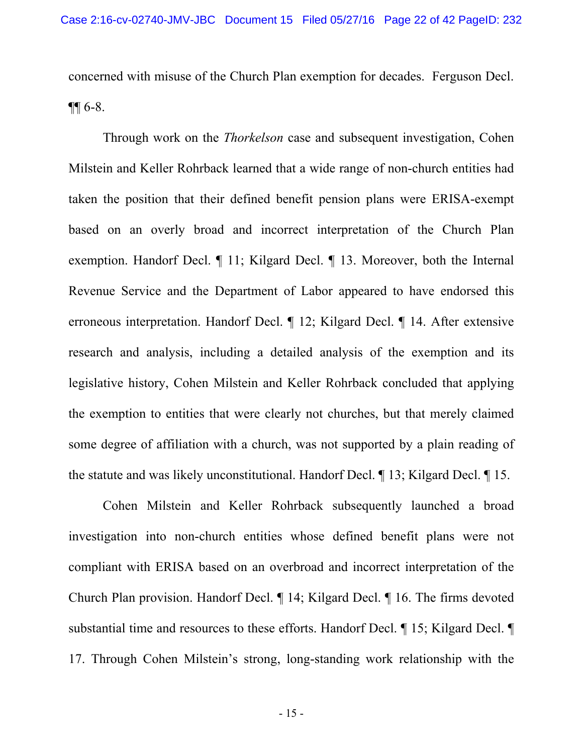concerned with misuse of the Church Plan exemption for decades. Ferguson Decl. ¶¶ 6-8.

Through work on the *Thorkelson* case and subsequent investigation, Cohen Milstein and Keller Rohrback learned that a wide range of non-church entities had taken the position that their defined benefit pension plans were ERISA-exempt based on an overly broad and incorrect interpretation of the Church Plan exemption. Handorf Decl. ¶ 11; Kilgard Decl. ¶ 13. Moreover, both the Internal Revenue Service and the Department of Labor appeared to have endorsed this erroneous interpretation. Handorf Decl. ¶ 12; Kilgard Decl. ¶ 14. After extensive research and analysis, including a detailed analysis of the exemption and its legislative history, Cohen Milstein and Keller Rohrback concluded that applying the exemption to entities that were clearly not churches, but that merely claimed some degree of affiliation with a church, was not supported by a plain reading of the statute and was likely unconstitutional. Handorf Decl. ¶ 13; Kilgard Decl. ¶ 15.

Cohen Milstein and Keller Rohrback subsequently launched a broad investigation into non-church entities whose defined benefit plans were not compliant with ERISA based on an overbroad and incorrect interpretation of the Church Plan provision. Handorf Decl. ¶ 14; Kilgard Decl. ¶ 16. The firms devoted substantial time and resources to these efforts. Handorf Decl. ¶ 15; Kilgard Decl. ¶ 17. Through Cohen Milstein's strong, long-standing work relationship with the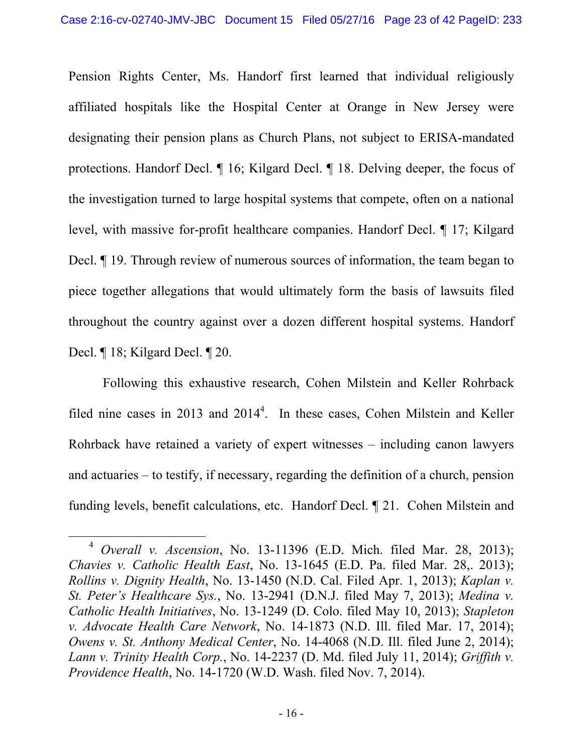Pension Rights Center, Ms. Handorf first learned that individual religiously affiliated hospitals like the Hospital Center at Orange in New Jersey were designating their pension plans as Church Plans, not subject to ERISA-mandated protections. Handorf Decl. ¶ 16; Kilgard Decl. ¶ 18. Delving deeper, the focus of the investigation turned to large hospital systems that compete, often on a national level, with massive for-profit healthcare companies. Handorf Decl. ¶ 17; Kilgard Decl. ¶ 19. Through review of numerous sources of information, the team began to piece together allegations that would ultimately form the basis of lawsuits filed throughout the country against over a dozen different hospital systems. Handorf Decl. ¶ 18; Kilgard Decl. ¶ 20.

Following this exhaustive research, Cohen Milstein and Keller Rohrback filed nine cases in 2013 and  $2014<sup>4</sup>$ . In these cases, Cohen Milstein and Keller Rohrback have retained a variety of expert witnesses – including canon lawyers and actuaries – to testify, if necessary, regarding the definition of a church, pension funding levels, benefit calculations, etc. Handorf Decl. ¶ 21. Cohen Milstein and

 <sup>4</sup> *Overall v. Ascension*, No. 13-11396 (E.D. Mich. filed Mar. 28, 2013); *Chavies v. Catholic Health East*, No. 13-1645 (E.D. Pa. filed Mar. 28,. 2013); *Rollins v. Dignity Health*, No. 13-1450 (N.D. Cal. Filed Apr. 1, 2013); *Kaplan v. St. Peter's Healthcare Sys.*, No. 13-2941 (D.N.J. filed May 7, 2013); *Medina v. Catholic Health Initiatives*, No. 13-1249 (D. Colo. filed May 10, 2013); *Stapleton v. Advocate Health Care Network*, No. 14-1873 (N.D. Ill. filed Mar. 17, 2014); *Owens v. St. Anthony Medical Center*, No. 14-4068 (N.D. Ill. filed June 2, 2014); *Lann v. Trinity Health Corp.*, No. 14-2237 (D. Md. filed July 11, 2014); *Griffith v. Providence Health*, No. 14-1720 (W.D. Wash. filed Nov. 7, 2014).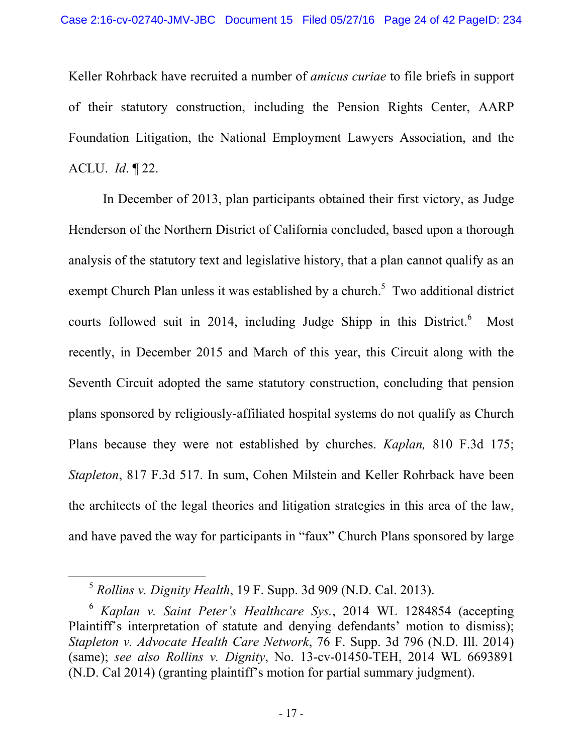Keller Rohrback have recruited a number of *amicus curiae* to file briefs in support of their statutory construction, including the Pension Rights Center, AARP Foundation Litigation, the National Employment Lawyers Association, and the ACLU. *Id*. ¶ 22.

In December of 2013, plan participants obtained their first victory, as Judge Henderson of the Northern District of California concluded, based upon a thorough analysis of the statutory text and legislative history, that a plan cannot qualify as an exempt Church Plan unless it was established by a church.<sup>5</sup> Two additional district courts followed suit in 2014, including Judge Shipp in this District.<sup>6</sup> Most recently, in December 2015 and March of this year, this Circuit along with the Seventh Circuit adopted the same statutory construction, concluding that pension plans sponsored by religiously-affiliated hospital systems do not qualify as Church Plans because they were not established by churches. *Kaplan,* 810 F.3d 175; *Stapleton*, 817 F.3d 517. In sum, Cohen Milstein and Keller Rohrback have been the architects of the legal theories and litigation strategies in this area of the law, and have paved the way for participants in "faux" Church Plans sponsored by large

 <sup>5</sup> *Rollins v. Dignity Health*, 19 F. Supp. 3d 909 (N.D. Cal. 2013).

<sup>6</sup> *Kaplan v. Saint Peter's Healthcare Sys.*, 2014 WL 1284854 (accepting Plaintiff's interpretation of statute and denying defendants' motion to dismiss); *Stapleton v. Advocate Health Care Network*, 76 F. Supp. 3d 796 (N.D. Ill. 2014) (same); *see also Rollins v. Dignity*, No. 13-cv-01450-TEH, 2014 WL 6693891 (N.D. Cal 2014) (granting plaintiff's motion for partial summary judgment).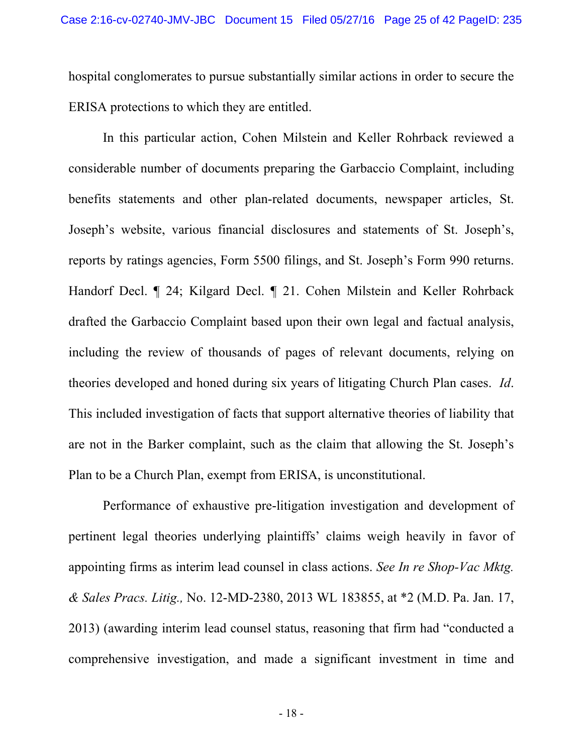hospital conglomerates to pursue substantially similar actions in order to secure the ERISA protections to which they are entitled.

In this particular action, Cohen Milstein and Keller Rohrback reviewed a considerable number of documents preparing the Garbaccio Complaint, including benefits statements and other plan-related documents, newspaper articles, St. Joseph's website, various financial disclosures and statements of St. Joseph's, reports by ratings agencies, Form 5500 filings, and St. Joseph's Form 990 returns. Handorf Decl. ¶ 24; Kilgard Decl. ¶ 21. Cohen Milstein and Keller Rohrback drafted the Garbaccio Complaint based upon their own legal and factual analysis, including the review of thousands of pages of relevant documents, relying on theories developed and honed during six years of litigating Church Plan cases. *Id*. This included investigation of facts that support alternative theories of liability that are not in the Barker complaint, such as the claim that allowing the St. Joseph's Plan to be a Church Plan, exempt from ERISA, is unconstitutional.

Performance of exhaustive pre-litigation investigation and development of pertinent legal theories underlying plaintiffs' claims weigh heavily in favor of appointing firms as interim lead counsel in class actions. *See In re Shop-Vac Mktg. & Sales Pracs. Litig.,* No. 12-MD-2380, 2013 WL 183855, at \*2 (M.D. Pa. Jan. 17, 2013) (awarding interim lead counsel status, reasoning that firm had "conducted a comprehensive investigation, and made a significant investment in time and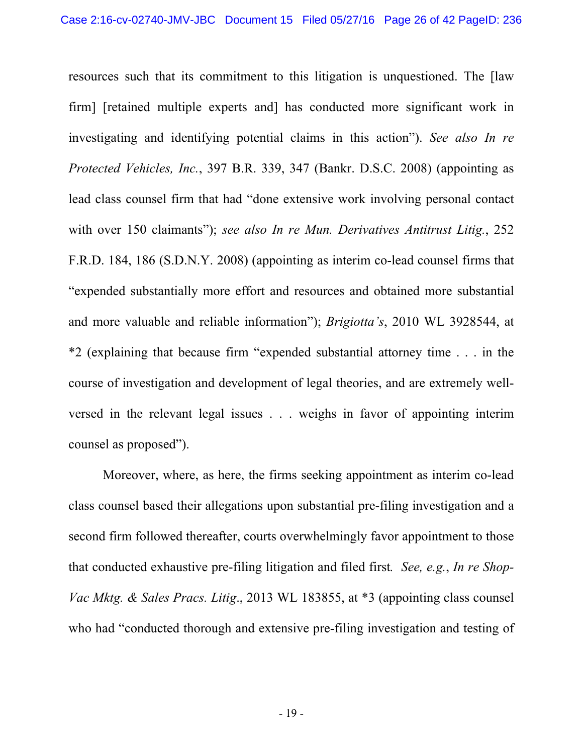resources such that its commitment to this litigation is unquestioned. The [law firm] [retained multiple experts and] has conducted more significant work in investigating and identifying potential claims in this action"). *See also In re Protected Vehicles, Inc.*, 397 B.R. 339, 347 (Bankr. D.S.C. 2008) (appointing as lead class counsel firm that had "done extensive work involving personal contact with over 150 claimants"); *see also In re Mun. Derivatives Antitrust Litig.*, 252 F.R.D. 184, 186 (S.D.N.Y. 2008) (appointing as interim co-lead counsel firms that "expended substantially more effort and resources and obtained more substantial and more valuable and reliable information"); *Brigiotta's*, 2010 WL 3928544, at \*2 (explaining that because firm "expended substantial attorney time . . . in the course of investigation and development of legal theories, and are extremely wellversed in the relevant legal issues . . . weighs in favor of appointing interim counsel as proposed").

Moreover, where, as here, the firms seeking appointment as interim co-lead class counsel based their allegations upon substantial pre-filing investigation and a second firm followed thereafter, courts overwhelmingly favor appointment to those that conducted exhaustive pre-filing litigation and filed first*. See, e.g.*, *In re Shop-Vac Mktg. & Sales Pracs. Litig*., 2013 WL 183855, at \*3 (appointing class counsel who had "conducted thorough and extensive pre-filing investigation and testing of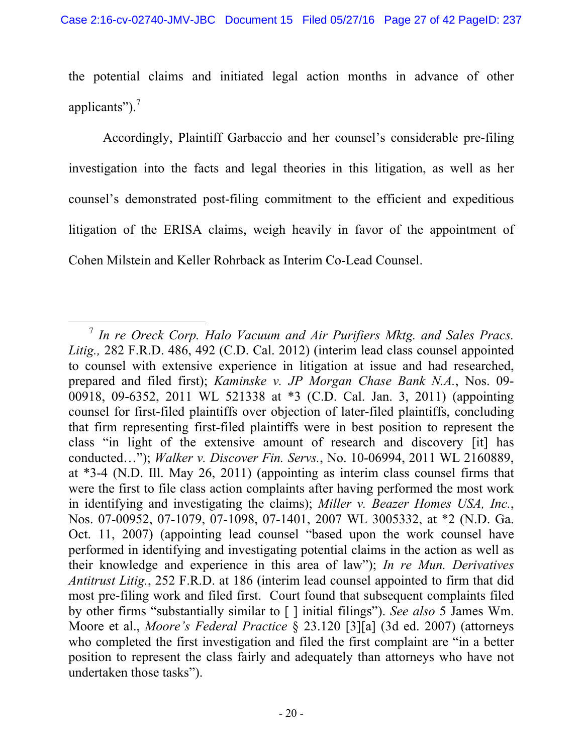the potential claims and initiated legal action months in advance of other applicants"). $<sup>7</sup>$ </sup>

Accordingly, Plaintiff Garbaccio and her counsel's considerable pre-filing investigation into the facts and legal theories in this litigation, as well as her counsel's demonstrated post-filing commitment to the efficient and expeditious litigation of the ERISA claims, weigh heavily in favor of the appointment of Cohen Milstein and Keller Rohrback as Interim Co-Lead Counsel.

 <sup>7</sup> *In re Oreck Corp. Halo Vacuum and Air Purifiers Mktg. and Sales Pracs. Litig.,* 282 F.R.D. 486, 492 (C.D. Cal. 2012) (interim lead class counsel appointed to counsel with extensive experience in litigation at issue and had researched, prepared and filed first); *Kaminske v. JP Morgan Chase Bank N.A.*, Nos. 09- 00918, 09-6352, 2011 WL 521338 at \*3 (C.D. Cal. Jan. 3, 2011) (appointing counsel for first-filed plaintiffs over objection of later-filed plaintiffs, concluding that firm representing first-filed plaintiffs were in best position to represent the class "in light of the extensive amount of research and discovery [it] has conducted…"); *Walker v. Discover Fin. Servs.*, No. 10-06994, 2011 WL 2160889, at \*3-4 (N.D. Ill. May 26, 2011) (appointing as interim class counsel firms that were the first to file class action complaints after having performed the most work in identifying and investigating the claims); *Miller v. Beazer Homes USA, Inc.*, Nos. 07-00952, 07-1079, 07-1098, 07-1401, 2007 WL 3005332, at \*2 (N.D. Ga. Oct. 11, 2007) (appointing lead counsel "based upon the work counsel have performed in identifying and investigating potential claims in the action as well as their knowledge and experience in this area of law"); *In re Mun. Derivatives Antitrust Litig.*, 252 F.R.D. at 186 (interim lead counsel appointed to firm that did most pre-filing work and filed first. Court found that subsequent complaints filed by other firms "substantially similar to [ ] initial filings"). *See also* 5 James Wm. Moore et al., *Moore's Federal Practice* § 23.120 [3][a] (3d ed. 2007) (attorneys who completed the first investigation and filed the first complaint are "in a better position to represent the class fairly and adequately than attorneys who have not undertaken those tasks").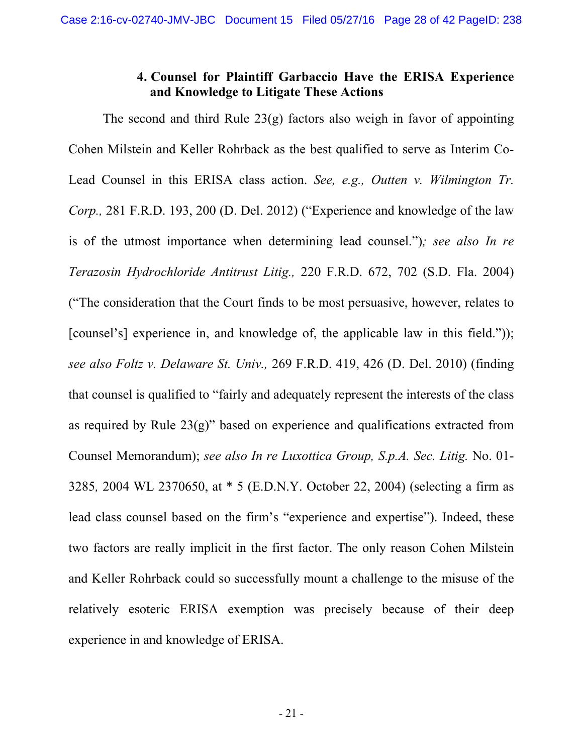### **4. Counsel for Plaintiff Garbaccio Have the ERISA Experience and Knowledge to Litigate These Actions**

The second and third Rule 23(g) factors also weigh in favor of appointing Cohen Milstein and Keller Rohrback as the best qualified to serve as Interim Co-Lead Counsel in this ERISA class action. *See, e.g., Outten v. Wilmington Tr. Corp.,* 281 F.R.D. 193, 200 (D. Del. 2012) ("Experience and knowledge of the law is of the utmost importance when determining lead counsel.")*; see also In re Terazosin Hydrochloride Antitrust Litig.,* 220 F.R.D. 672, 702 (S.D. Fla. 2004) ("The consideration that the Court finds to be most persuasive, however, relates to [counsel's] experience in, and knowledge of, the applicable law in this field.")); *see also Foltz v. Delaware St. Univ.,* 269 F.R.D. 419, 426 (D. Del. 2010) (finding that counsel is qualified to "fairly and adequately represent the interests of the class as required by Rule 23(g)" based on experience and qualifications extracted from Counsel Memorandum); *see also In re Luxottica Group, S.p.A. Sec. Litig.* No. 01- 3285*,* 2004 WL 2370650, at \* 5 (E.D.N.Y. October 22, 2004) (selecting a firm as lead class counsel based on the firm's "experience and expertise"). Indeed, these two factors are really implicit in the first factor. The only reason Cohen Milstein and Keller Rohrback could so successfully mount a challenge to the misuse of the relatively esoteric ERISA exemption was precisely because of their deep experience in and knowledge of ERISA.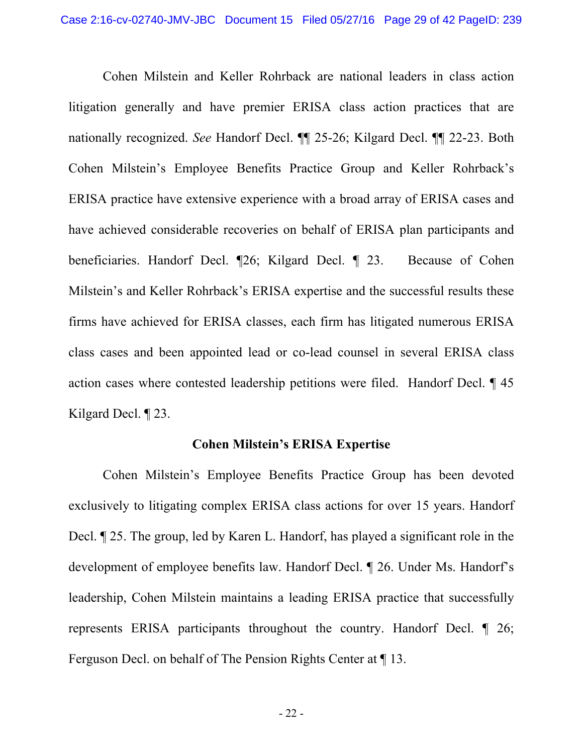Cohen Milstein and Keller Rohrback are national leaders in class action litigation generally and have premier ERISA class action practices that are nationally recognized. *See* Handorf Decl. ¶¶ 25-26; Kilgard Decl. ¶¶ 22-23. Both Cohen Milstein's Employee Benefits Practice Group and Keller Rohrback's ERISA practice have extensive experience with a broad array of ERISA cases and have achieved considerable recoveries on behalf of ERISA plan participants and beneficiaries. Handorf Decl. ¶26; Kilgard Decl. ¶ 23. Because of Cohen Milstein's and Keller Rohrback's ERISA expertise and the successful results these firms have achieved for ERISA classes, each firm has litigated numerous ERISA class cases and been appointed lead or co-lead counsel in several ERISA class action cases where contested leadership petitions were filed. Handorf Decl. ¶ 45 Kilgard Decl. ¶ 23.

#### **Cohen Milstein's ERISA Expertise**

Cohen Milstein's Employee Benefits Practice Group has been devoted exclusively to litigating complex ERISA class actions for over 15 years. Handorf Decl. ¶ 25. The group, led by Karen L. Handorf, has played a significant role in the development of employee benefits law. Handorf Decl. ¶ 26. Under Ms. Handorf's leadership, Cohen Milstein maintains a leading ERISA practice that successfully represents ERISA participants throughout the country. Handorf Decl. ¶ 26; Ferguson Decl. on behalf of The Pension Rights Center at ¶ 13.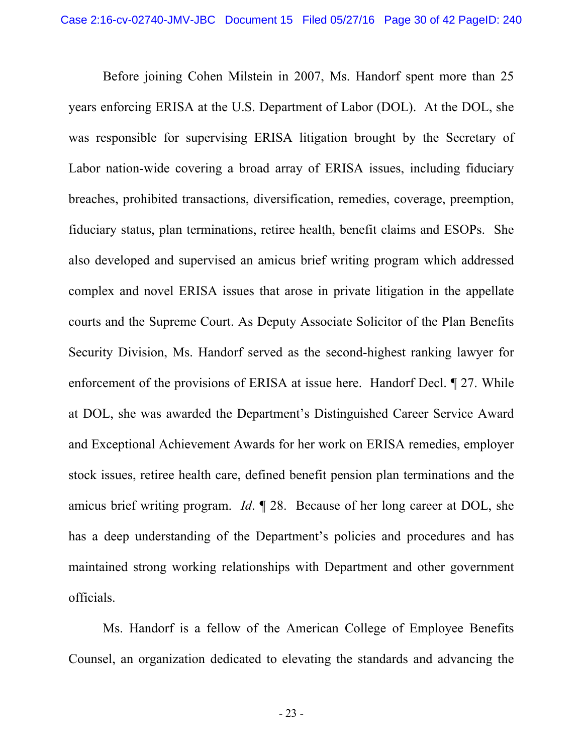Before joining Cohen Milstein in 2007, Ms. Handorf spent more than 25 years enforcing ERISA at the U.S. Department of Labor (DOL). At the DOL, she was responsible for supervising ERISA litigation brought by the Secretary of Labor nation-wide covering a broad array of ERISA issues, including fiduciary breaches, prohibited transactions, diversification, remedies, coverage, preemption, fiduciary status, plan terminations, retiree health, benefit claims and ESOPs. She also developed and supervised an amicus brief writing program which addressed complex and novel ERISA issues that arose in private litigation in the appellate courts and the Supreme Court. As Deputy Associate Solicitor of the Plan Benefits Security Division, Ms. Handorf served as the second-highest ranking lawyer for enforcement of the provisions of ERISA at issue here. Handorf Decl. ¶ 27. While at DOL, she was awarded the Department's Distinguished Career Service Award and Exceptional Achievement Awards for her work on ERISA remedies, employer stock issues, retiree health care, defined benefit pension plan terminations and the amicus brief writing program. *Id*. ¶ 28. Because of her long career at DOL, she has a deep understanding of the Department's policies and procedures and has maintained strong working relationships with Department and other government officials.

Ms. Handorf is a fellow of the American College of Employee Benefits Counsel, an organization dedicated to elevating the standards and advancing the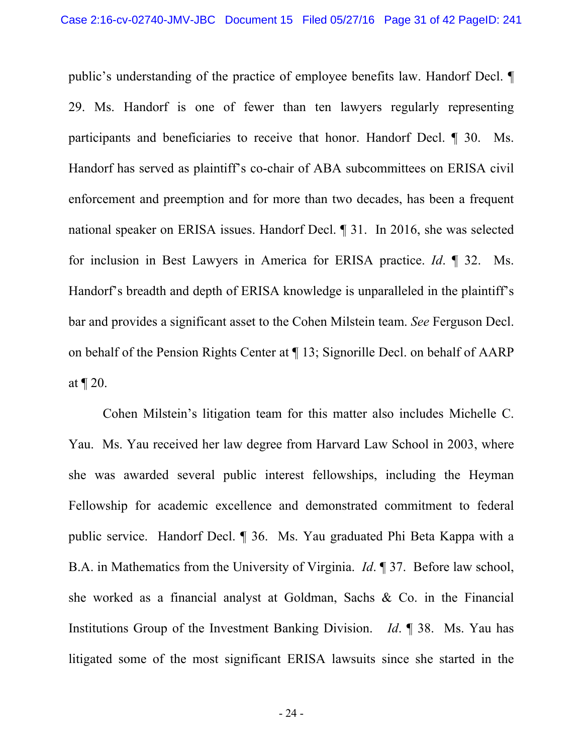public's understanding of the practice of employee benefits law. Handorf Decl. ¶ 29. Ms. Handorf is one of fewer than ten lawyers regularly representing participants and beneficiaries to receive that honor. Handorf Decl. ¶ 30. Ms. Handorf has served as plaintiff's co-chair of ABA subcommittees on ERISA civil enforcement and preemption and for more than two decades, has been a frequent national speaker on ERISA issues. Handorf Decl. ¶ 31. In 2016, she was selected for inclusion in Best Lawyers in America for ERISA practice. *Id*. ¶ 32. Ms. Handorf's breadth and depth of ERISA knowledge is unparalleled in the plaintiff's bar and provides a significant asset to the Cohen Milstein team. *See* Ferguson Decl. on behalf of the Pension Rights Center at ¶ 13; Signorille Decl. on behalf of AARP at ¶ 20.

Cohen Milstein's litigation team for this matter also includes Michelle C. Yau. Ms. Yau received her law degree from Harvard Law School in 2003, where she was awarded several public interest fellowships, including the Heyman Fellowship for academic excellence and demonstrated commitment to federal public service. Handorf Decl. ¶ 36. Ms. Yau graduated Phi Beta Kappa with a B.A. in Mathematics from the University of Virginia. *Id*. ¶ 37. Before law school, she worked as a financial analyst at Goldman, Sachs & Co. in the Financial Institutions Group of the Investment Banking Division. *Id*. ¶ 38. Ms. Yau has litigated some of the most significant ERISA lawsuits since she started in the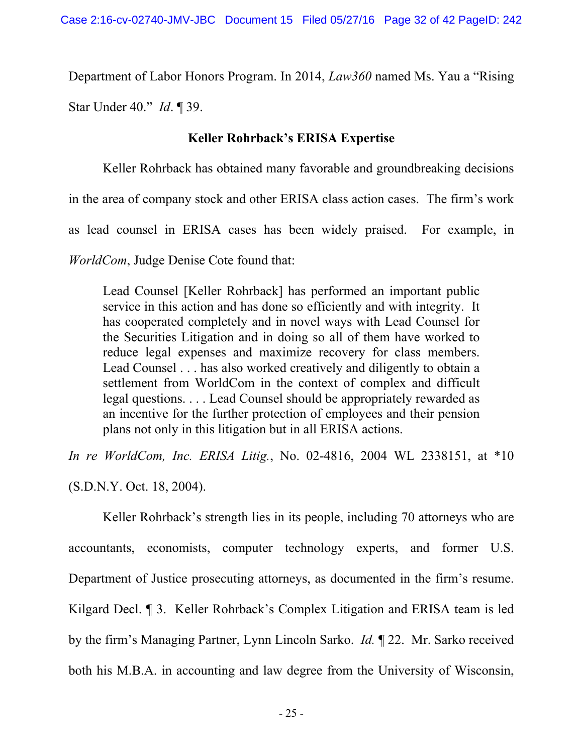Department of Labor Honors Program. In 2014, *Law360* named Ms. Yau a "Rising

Star Under 40." *Id*. ¶ 39.

### **Keller Rohrback's ERISA Expertise**

Keller Rohrback has obtained many favorable and groundbreaking decisions

in the area of company stock and other ERISA class action cases. The firm's work

as lead counsel in ERISA cases has been widely praised. For example, in

*WorldCom*, Judge Denise Cote found that:

Lead Counsel [Keller Rohrback] has performed an important public service in this action and has done so efficiently and with integrity. It has cooperated completely and in novel ways with Lead Counsel for the Securities Litigation and in doing so all of them have worked to reduce legal expenses and maximize recovery for class members. Lead Counsel . . . has also worked creatively and diligently to obtain a settlement from WorldCom in the context of complex and difficult legal questions. . . . Lead Counsel should be appropriately rewarded as an incentive for the further protection of employees and their pension plans not only in this litigation but in all ERISA actions.

*In re WorldCom, Inc. ERISA Litig.*, No. 02-4816, 2004 WL 2338151, at \*10

(S.D.N.Y. Oct. 18, 2004).

Keller Rohrback's strength lies in its people, including 70 attorneys who are accountants, economists, computer technology experts, and former U.S. Department of Justice prosecuting attorneys, as documented in the firm's resume. Kilgard Decl. ¶ 3. Keller Rohrback's Complex Litigation and ERISA team is led by the firm's Managing Partner, Lynn Lincoln Sarko. *Id.* ¶ 22. Mr. Sarko received both his M.B.A. in accounting and law degree from the University of Wisconsin,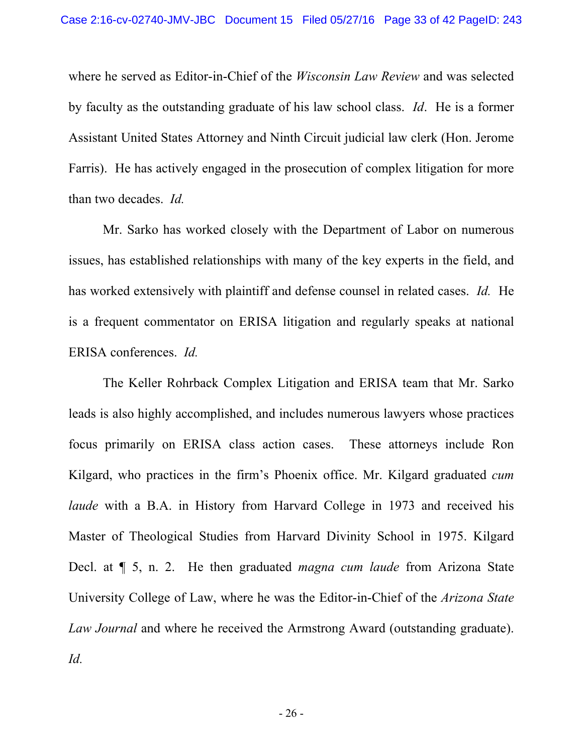where he served as Editor-in-Chief of the *Wisconsin Law Review* and was selected by faculty as the outstanding graduate of his law school class. *Id*. He is a former Assistant United States Attorney and Ninth Circuit judicial law clerk (Hon. Jerome Farris). He has actively engaged in the prosecution of complex litigation for more than two decades. *Id.*

Mr. Sarko has worked closely with the Department of Labor on numerous issues, has established relationships with many of the key experts in the field, and has worked extensively with plaintiff and defense counsel in related cases. *Id.* He is a frequent commentator on ERISA litigation and regularly speaks at national ERISA conferences. *Id.* 

The Keller Rohrback Complex Litigation and ERISA team that Mr. Sarko leads is also highly accomplished, and includes numerous lawyers whose practices focus primarily on ERISA class action cases. These attorneys include Ron Kilgard, who practices in the firm's Phoenix office. Mr. Kilgard graduated *cum laude* with a B.A. in History from Harvard College in 1973 and received his Master of Theological Studies from Harvard Divinity School in 1975. Kilgard Decl. at ¶ 5, n. 2. He then graduated *magna cum laude* from Arizona State University College of Law, where he was the Editor-in-Chief of the *Arizona State Law Journal* and where he received the Armstrong Award (outstanding graduate). *Id.*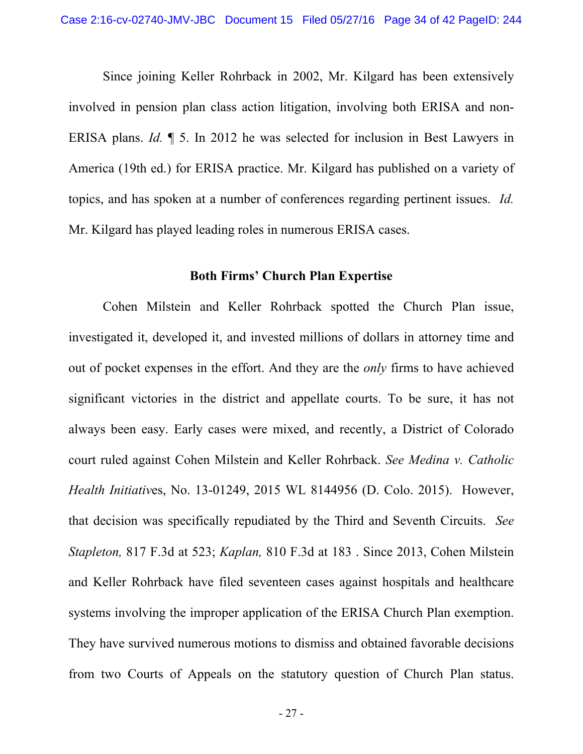Since joining Keller Rohrback in 2002, Mr. Kilgard has been extensively involved in pension plan class action litigation, involving both ERISA and non-ERISA plans. *Id.* ¶ 5. In 2012 he was selected for inclusion in Best Lawyers in America (19th ed.) for ERISA practice. Mr. Kilgard has published on a variety of topics, and has spoken at a number of conferences regarding pertinent issues. *Id.*  Mr. Kilgard has played leading roles in numerous ERISA cases.

#### **Both Firms' Church Plan Expertise**

Cohen Milstein and Keller Rohrback spotted the Church Plan issue, investigated it, developed it, and invested millions of dollars in attorney time and out of pocket expenses in the effort. And they are the *only* firms to have achieved significant victories in the district and appellate courts. To be sure, it has not always been easy. Early cases were mixed, and recently, a District of Colorado court ruled against Cohen Milstein and Keller Rohrback. *See Medina v. Catholic Health Initiativ*es, No. 13-01249, 2015 WL 8144956 (D. Colo. 2015). However, that decision was specifically repudiated by the Third and Seventh Circuits. *See Stapleton,* 817 F.3d at 523; *Kaplan,* 810 F.3d at 183 . Since 2013, Cohen Milstein and Keller Rohrback have filed seventeen cases against hospitals and healthcare systems involving the improper application of the ERISA Church Plan exemption. They have survived numerous motions to dismiss and obtained favorable decisions from two Courts of Appeals on the statutory question of Church Plan status.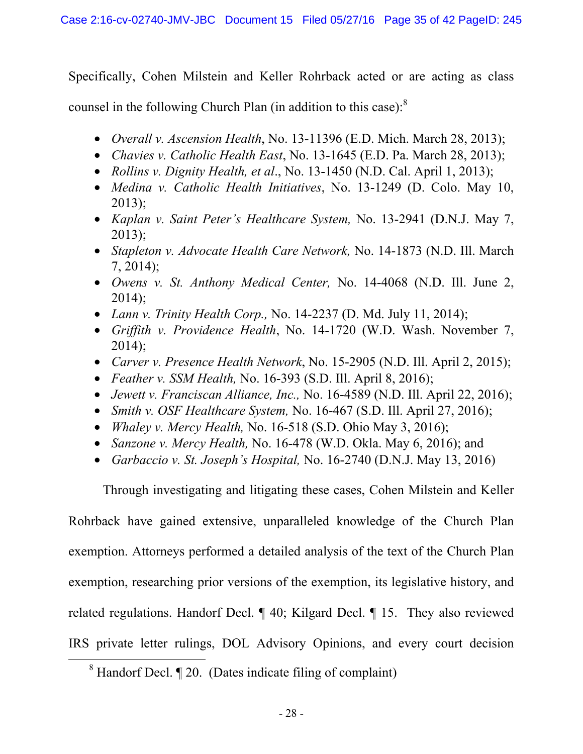Specifically, Cohen Milstein and Keller Rohrback acted or are acting as class counsel in the following Church Plan (in addition to this case):<sup>8</sup>

- *Overall v. Ascension Health*, No. 13-11396 (E.D. Mich. March 28, 2013);
- *Chavies v. Catholic Health East*, No. 13-1645 (E.D. Pa. March 28, 2013);
- *Rollins v. Dignity Health, et al*., No. 13-1450 (N.D. Cal. April 1, 2013);
- *Medina v. Catholic Health Initiatives*, No. 13-1249 (D. Colo. May 10, 2013);
- *Kaplan v. Saint Peter's Healthcare System,* No. 13-2941 (D.N.J. May 7, 2013);
- *Stapleton v. Advocate Health Care Network,* No. 14-1873 (N.D. Ill. March 7, 2014);
- *Owens v. St. Anthony Medical Center,* No. 14-4068 (N.D. Ill. June 2,  $2014$ ;
- *Lann v. Trinity Health Corp.,* No. 14-2237 (D. Md. July 11, 2014);
- *Griffith v. Providence Health*, No. 14-1720 (W.D. Wash. November 7, 2014);
- *Carver v. Presence Health Network*, No. 15-2905 (N.D. Ill. April 2, 2015);
- *Feather v. SSM Health,* No. 16-393 (S.D. Ill. April 8, 2016);
- *Jewett v. Franciscan Alliance, Inc.,* No. 16-4589 (N.D. Ill. April 22, 2016);
- *Smith v. OSF Healthcare System,* No. 16-467 (S.D. Ill. April 27, 2016);
- *Whaley v. Mercy Health,* No. 16-518 (S.D. Ohio May 3, 2016);
- *Sanzone v. Mercy Health,* No. 16-478 (W.D. Okla. May 6, 2016); and
- *Garbaccio v. St. Joseph's Hospital,* No. 16-2740 (D.N.J. May 13, 2016)

Through investigating and litigating these cases, Cohen Milstein and Keller

Rohrback have gained extensive, unparalleled knowledge of the Church Plan exemption. Attorneys performed a detailed analysis of the text of the Church Plan exemption, researching prior versions of the exemption, its legislative history, and related regulations. Handorf Decl. ¶ 40; Kilgard Decl. ¶ 15. They also reviewed IRS private letter rulings, DOL Advisory Opinions, and every court decision

 8  $\delta$  Handorf Decl.  $\P$  20. (Dates indicate filing of complaint)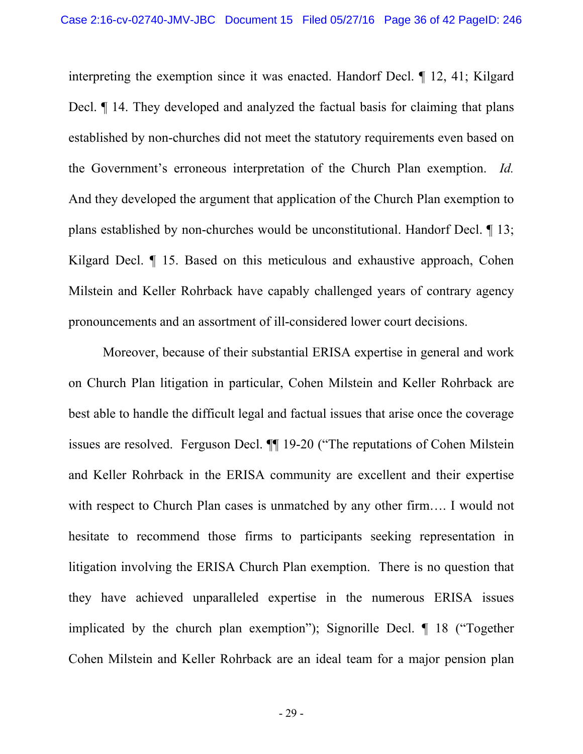interpreting the exemption since it was enacted. Handorf Decl. ¶ 12, 41; Kilgard Decl. ¶ 14. They developed and analyzed the factual basis for claiming that plans established by non-churches did not meet the statutory requirements even based on the Government's erroneous interpretation of the Church Plan exemption. *Id.*  And they developed the argument that application of the Church Plan exemption to plans established by non-churches would be unconstitutional. Handorf Decl. ¶ 13; Kilgard Decl. *¶* 15. Based on this meticulous and exhaustive approach, Cohen Milstein and Keller Rohrback have capably challenged years of contrary agency pronouncements and an assortment of ill-considered lower court decisions.

Moreover, because of their substantial ERISA expertise in general and work on Church Plan litigation in particular, Cohen Milstein and Keller Rohrback are best able to handle the difficult legal and factual issues that arise once the coverage issues are resolved. Ferguson Decl. ¶¶ 19-20 ("The reputations of Cohen Milstein and Keller Rohrback in the ERISA community are excellent and their expertise with respect to Church Plan cases is unmatched by any other firm.... I would not hesitate to recommend those firms to participants seeking representation in litigation involving the ERISA Church Plan exemption. There is no question that they have achieved unparalleled expertise in the numerous ERISA issues implicated by the church plan exemption"); Signorille Decl. ¶ 18 ("Together Cohen Milstein and Keller Rohrback are an ideal team for a major pension plan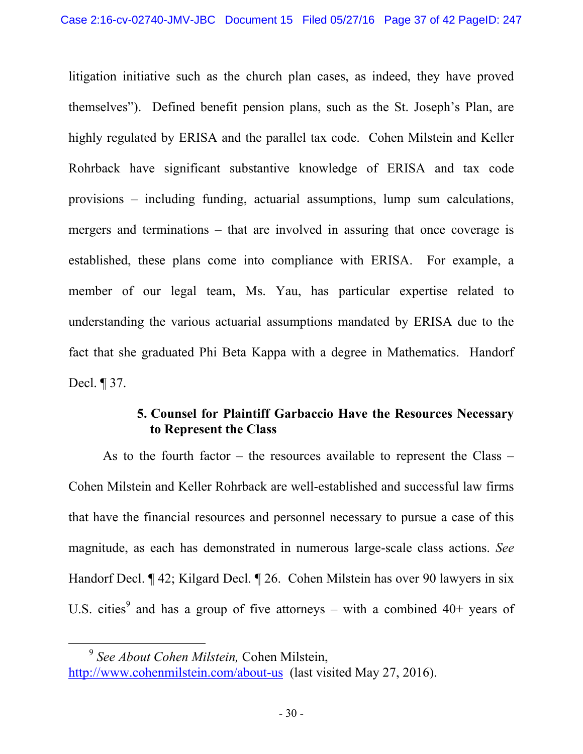litigation initiative such as the church plan cases, as indeed, they have proved themselves"). Defined benefit pension plans, such as the St. Joseph's Plan, are highly regulated by ERISA and the parallel tax code. Cohen Milstein and Keller Rohrback have significant substantive knowledge of ERISA and tax code provisions – including funding, actuarial assumptions, lump sum calculations, mergers and terminations – that are involved in assuring that once coverage is established, these plans come into compliance with ERISA. For example, a member of our legal team, Ms. Yau, has particular expertise related to understanding the various actuarial assumptions mandated by ERISA due to the fact that she graduated Phi Beta Kappa with a degree in Mathematics. Handorf Decl. ¶ 37.

### **5. Counsel for Plaintiff Garbaccio Have the Resources Necessary to Represent the Class**

As to the fourth factor – the resources available to represent the Class – Cohen Milstein and Keller Rohrback are well-established and successful law firms that have the financial resources and personnel necessary to pursue a case of this magnitude, as each has demonstrated in numerous large-scale class actions. *See* Handorf Decl. ¶ 42; Kilgard Decl. ¶ 26. Cohen Milstein has over 90 lawyers in six U.S. cities<sup>9</sup> and has a group of five attorneys – with a combined  $40+$  years of

 <sup>9</sup> *See About Cohen Milstein,* Cohen Milstein, http://www.cohenmilstein.com/about-us (last visited May 27, 2016).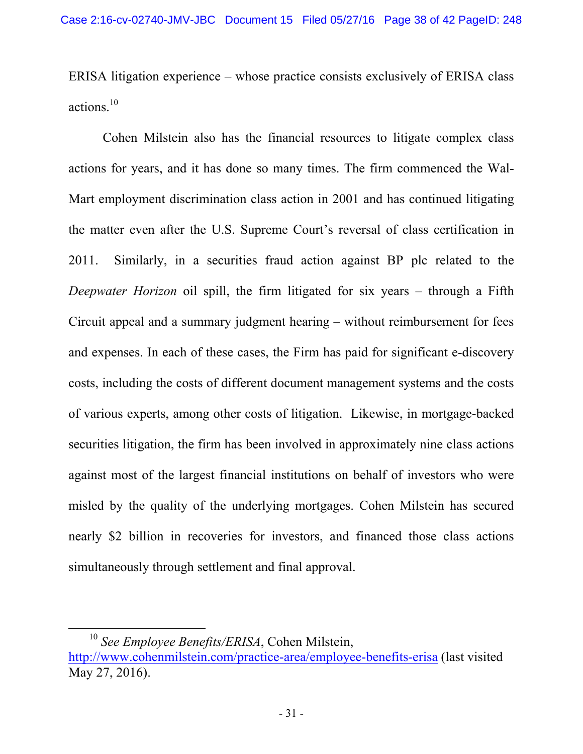ERISA litigation experience – whose practice consists exclusively of ERISA class actions.10

Cohen Milstein also has the financial resources to litigate complex class actions for years, and it has done so many times. The firm commenced the Wal-Mart employment discrimination class action in 2001 and has continued litigating the matter even after the U.S. Supreme Court's reversal of class certification in 2011. Similarly, in a securities fraud action against BP plc related to the *Deepwater Horizon* oil spill, the firm litigated for six years – through a Fifth Circuit appeal and a summary judgment hearing – without reimbursement for fees and expenses. In each of these cases, the Firm has paid for significant e-discovery costs, including the costs of different document management systems and the costs of various experts, among other costs of litigation. Likewise, in mortgage-backed securities litigation, the firm has been involved in approximately nine class actions against most of the largest financial institutions on behalf of investors who were misled by the quality of the underlying mortgages. Cohen Milstein has secured nearly \$2 billion in recoveries for investors, and financed those class actions simultaneously through settlement and final approval.

 <sup>10</sup> *See Employee Benefits/ERISA*, Cohen Milstein,

http://www.cohenmilstein.com/practice-area/employee-benefits-erisa (last visited May 27, 2016).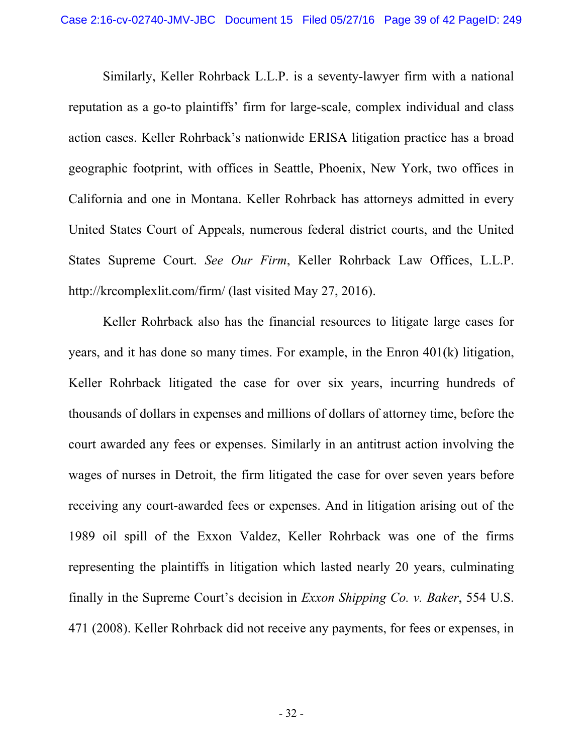Similarly, Keller Rohrback L.L.P. is a seventy-lawyer firm with a national reputation as a go-to plaintiffs' firm for large-scale, complex individual and class action cases. Keller Rohrback's nationwide ERISA litigation practice has a broad geographic footprint, with offices in Seattle, Phoenix, New York, two offices in California and one in Montana. Keller Rohrback has attorneys admitted in every United States Court of Appeals, numerous federal district courts, and the United States Supreme Court. *See Our Firm*, Keller Rohrback Law Offices, L.L.P. http://krcomplexlit.com/firm/ (last visited May 27, 2016).

Keller Rohrback also has the financial resources to litigate large cases for years, and it has done so many times. For example, in the Enron 401(k) litigation, Keller Rohrback litigated the case for over six years, incurring hundreds of thousands of dollars in expenses and millions of dollars of attorney time, before the court awarded any fees or expenses. Similarly in an antitrust action involving the wages of nurses in Detroit, the firm litigated the case for over seven years before receiving any court-awarded fees or expenses. And in litigation arising out of the 1989 oil spill of the Exxon Valdez, Keller Rohrback was one of the firms representing the plaintiffs in litigation which lasted nearly 20 years, culminating finally in the Supreme Court's decision in *Exxon Shipping Co. v. Baker*, 554 U.S. 471 (2008). Keller Rohrback did not receive any payments, for fees or expenses, in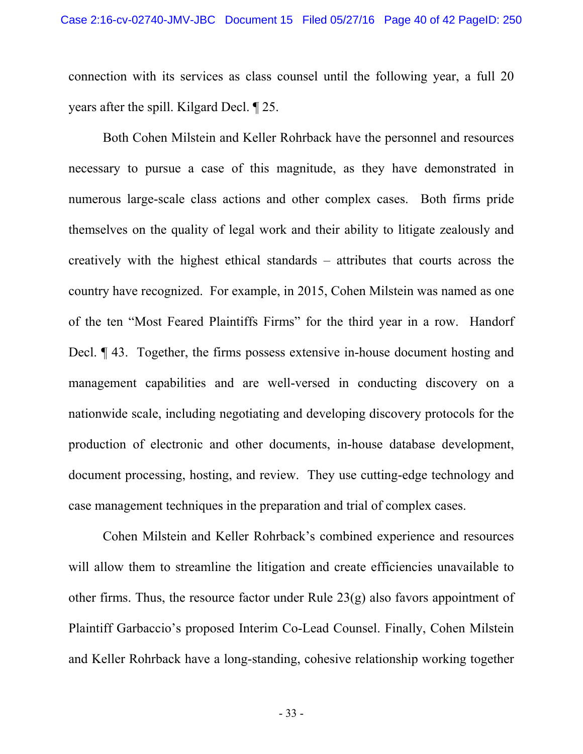connection with its services as class counsel until the following year, a full 20 years after the spill. Kilgard Decl. ¶ 25.

Both Cohen Milstein and Keller Rohrback have the personnel and resources necessary to pursue a case of this magnitude, as they have demonstrated in numerous large-scale class actions and other complex cases. Both firms pride themselves on the quality of legal work and their ability to litigate zealously and creatively with the highest ethical standards – attributes that courts across the country have recognized. For example, in 2015, Cohen Milstein was named as one of the ten "Most Feared Plaintiffs Firms" for the third year in a row. Handorf Decl. ¶ 43. Together, the firms possess extensive in-house document hosting and management capabilities and are well-versed in conducting discovery on a nationwide scale, including negotiating and developing discovery protocols for the production of electronic and other documents, in-house database development, document processing, hosting, and review. They use cutting-edge technology and case management techniques in the preparation and trial of complex cases.

Cohen Milstein and Keller Rohrback's combined experience and resources will allow them to streamline the litigation and create efficiencies unavailable to other firms. Thus, the resource factor under Rule 23(g) also favors appointment of Plaintiff Garbaccio's proposed Interim Co-Lead Counsel. Finally, Cohen Milstein and Keller Rohrback have a long-standing, cohesive relationship working together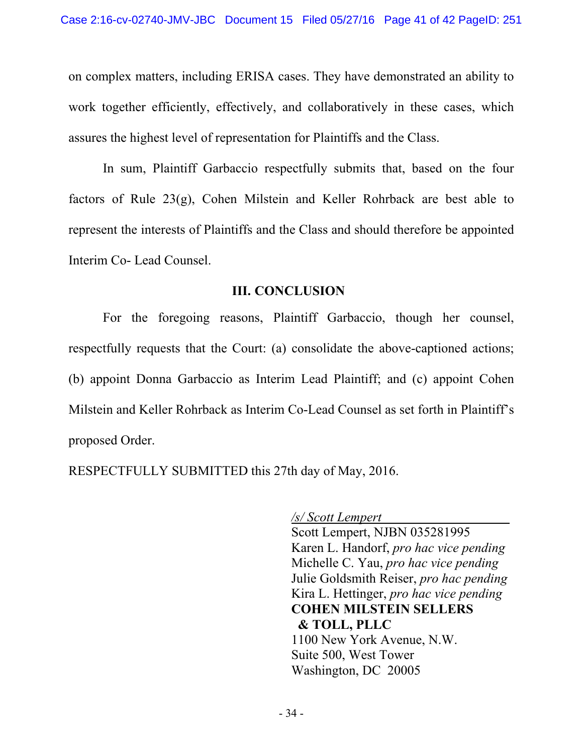on complex matters, including ERISA cases. They have demonstrated an ability to work together efficiently, effectively, and collaboratively in these cases, which assures the highest level of representation for Plaintiffs and the Class.

In sum, Plaintiff Garbaccio respectfully submits that, based on the four factors of Rule 23(g), Cohen Milstein and Keller Rohrback are best able to represent the interests of Plaintiffs and the Class and should therefore be appointed Interim Co- Lead Counsel.

#### **III. CONCLUSION**

For the foregoing reasons, Plaintiff Garbaccio, though her counsel, respectfully requests that the Court: (a) consolidate the above-captioned actions; (b) appoint Donna Garbaccio as Interim Lead Plaintiff; and (c) appoint Cohen Milstein and Keller Rohrback as Interim Co-Lead Counsel as set forth in Plaintiff's proposed Order.

RESPECTFULLY SUBMITTED this 27th day of May, 2016.

*/s/ Scott Lempert*  Scott Lempert, NJBN 035281995 Karen L. Handorf, *pro hac vice pending* Michelle C. Yau, *pro hac vice pending*  Julie Goldsmith Reiser, *pro hac pending*  Kira L. Hettinger, *pro hac vice pending* **COHEN MILSTEIN SELLERS & TOLL, PLLC** 1100 New York Avenue, N.W. Suite 500, West Tower Washington, DC 20005